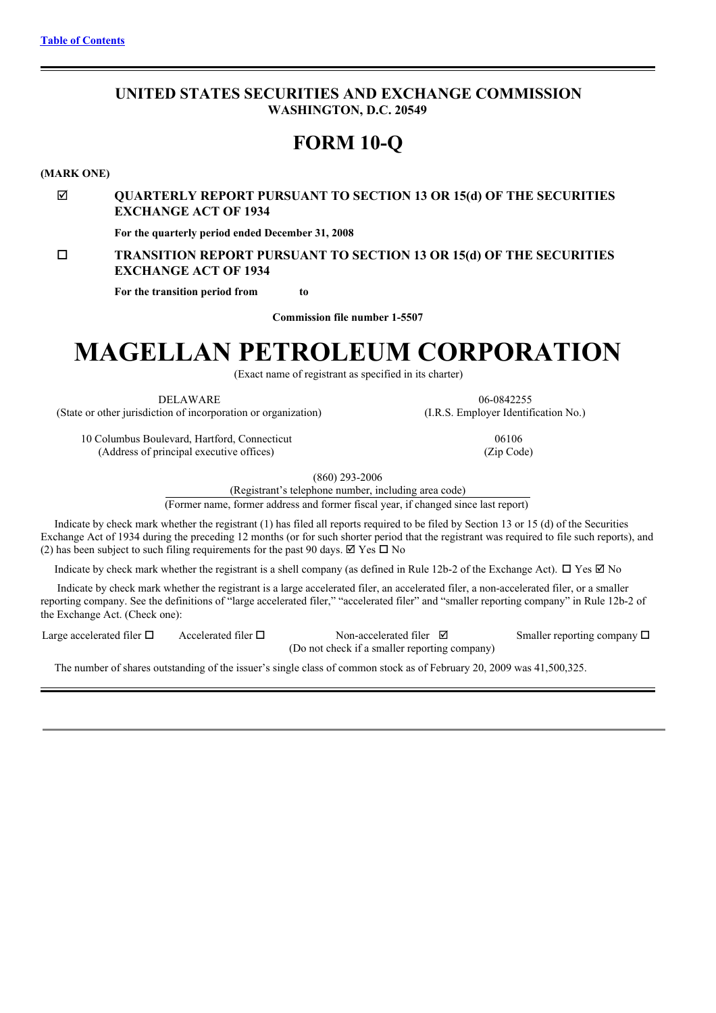# <span id="page-0-0"></span>**UNITED STATES SECURITIES AND EXCHANGE COMMISSION WASHINGTON, D.C. 20549**

# **FORM 10-Q**

**(MARK ONE)**

# þ **QUARTERLY REPORT PURSUANT TO SECTION 13 OR 15(d) OF THE SECURITIES EXCHANGE ACT OF 1934**

**For the quarterly period ended December 31, 2008**

o **TRANSITION REPORT PURSUANT TO SECTION 13 OR 15(d) OF THE SECURITIES EXCHANGE ACT OF 1934**

**For the transition period from to**

**Commission file number 1-5507**

# **MAGELLAN PETROLEUM CORPORATION**

(Exact name of registrant as specified in its charter)

(State or other jurisdiction of incorporation or organization) (I.R.S. Employer Identification No.)

DELAWARE 06-0842255

10 Columbus Boulevard, Hartford, Connecticut 06106 (Address of principal executive offices) (Zip Code)

(860) 293-2006

(Registrant's telephone number, including area code)

(Former name, former address and former fiscal year, if changed since last report)

Indicate by check mark whether the registrant (1) has filed all reports required to be filed by Section 13 or 15 (d) of the Securities Exchange Act of 1934 during the preceding 12 months (or for such shorter period that the registrant was required to file such reports), and (2) has been subject to such filing requirements for the past 90 days.  $\boxtimes$  Yes  $\square$  No

Indicate by check mark whether the registrant is a shell company (as defined in Rule 12b-2 of the Exchange Act).  $\Box$  Yes  $\Box$  No

Indicate by check mark whether the registrant is a large accelerated filer, an accelerated filer, a non-accelerated filer, or a smaller reporting company. See the definitions of "large accelerated filer," "accelerated filer" and "smaller reporting company" in Rule 12b-2 of the Exchange Act. (Check one):

Large accelerated filer  $\square$  Accelerated filer  $\square$  Non-accelerated filer  $\square$ 

(Do not check if a smaller reporting company)

Smaller reporting company  $\Box$ 

The number of shares outstanding of the issuer's single class of common stock as of February 20, 2009 was 41,500,325.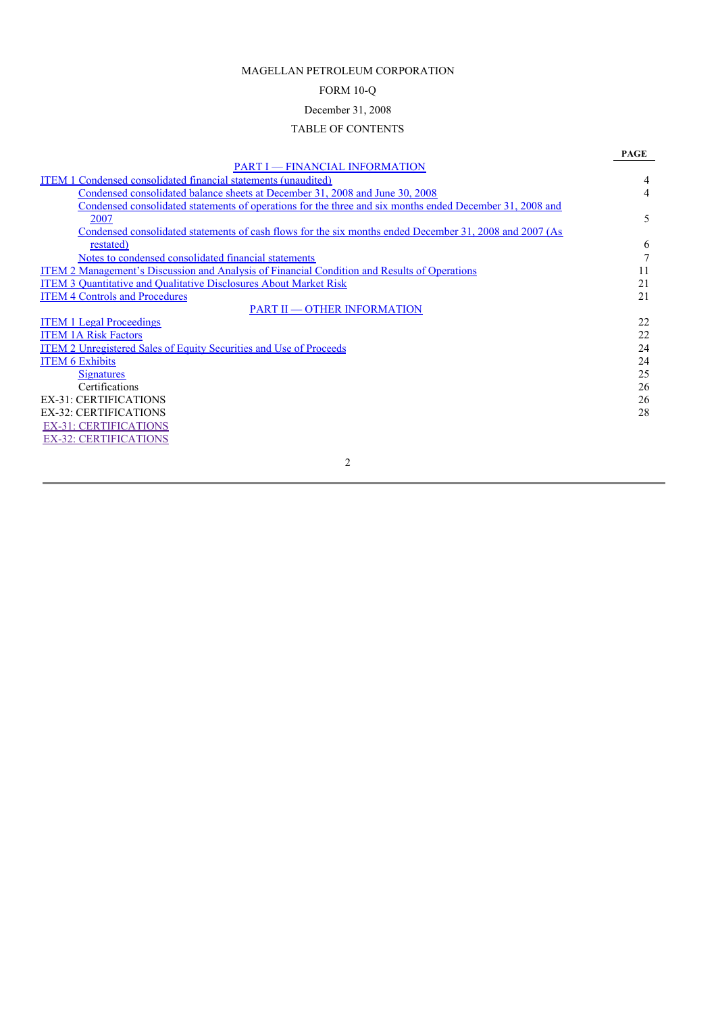# MAGELLAN PETROLEUM CORPORATION

# FORM 10-Q

# December 31, 2008

# TABLE OF CONTENTS

|                                                                                                          | <b>PAGE</b> |
|----------------------------------------------------------------------------------------------------------|-------------|
| <b>PART I - FINANCIAL INFORMATION</b>                                                                    |             |
| ITEM 1 Condensed consolidated financial statements (unaudited)                                           | 4           |
| Condensed consolidated balance sheets at December 31, 2008 and June 30, 2008                             | 4           |
| Condensed consolidated statements of operations for the three and six months ended December 31, 2008 and |             |
| 2007                                                                                                     | 5           |
| Condensed consolidated statements of cash flows for the six months ended December 31, 2008 and 2007 (As  |             |
| restated)                                                                                                | 6           |
| Notes to condensed consolidated financial statements                                                     |             |
| <b>ITEM 2 Management's Discussion and Analysis of Financial Condition and Results of Operations</b>      | 11          |
| <b>ITEM 3 Quantitative and Qualitative Disclosures About Market Risk</b>                                 | 21          |
| <b>ITEM 4 Controls and Procedures</b>                                                                    | 21          |
| <b>PART II — OTHER INFORMATION</b>                                                                       |             |
| <b>ITEM 1 Legal Proceedings</b>                                                                          | 22          |
| <b>ITEM 1A Risk Factors</b>                                                                              | 22          |
| <b>ITEM 2 Unregistered Sales of Equity Securities and Use of Proceeds</b>                                | 24          |
| <b>ITEM 6 Exhibits</b>                                                                                   | 24          |
| <b>Signatures</b>                                                                                        | 25          |
| Certifications                                                                                           | 26          |
| <b>EX-31: CERTIFICATIONS</b>                                                                             | 26          |
| <b>EX-32: CERTIFICATIONS</b>                                                                             | 28          |
| <b>EX-31: CERTIFICATIONS</b>                                                                             |             |
| <b>EX-32: CERTIFICATIONS</b>                                                                             |             |
|                                                                                                          |             |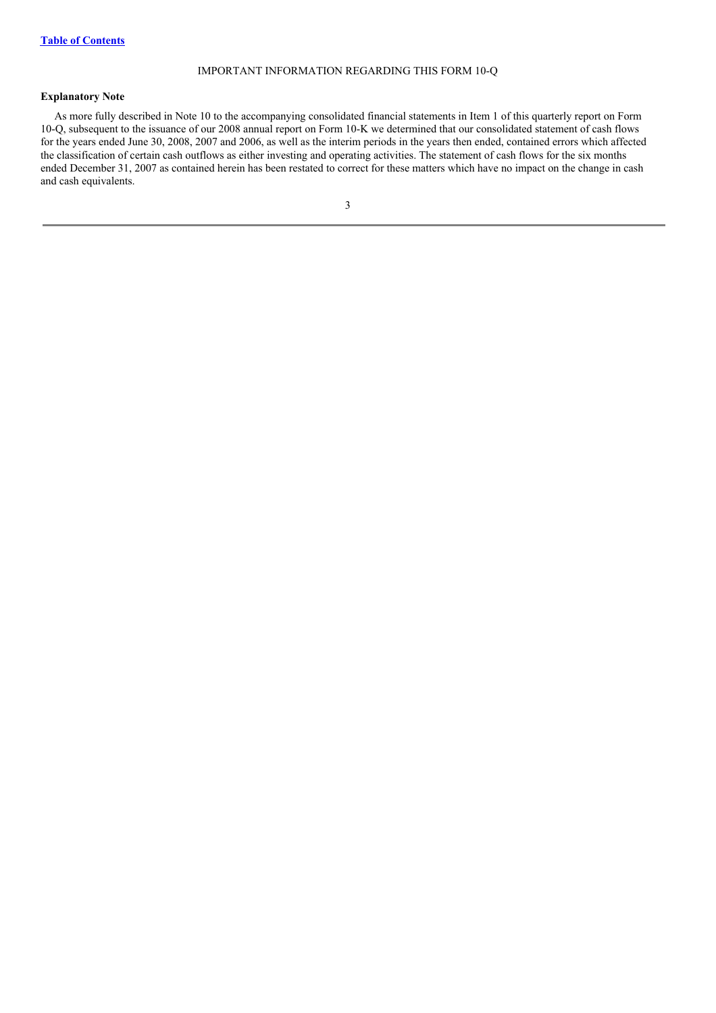### IMPORTANT INFORMATION REGARDING THIS FORM 10-Q

### **Explanatory Note**

As more fully described in Note 10 to the accompanying consolidated financial statements in Item 1 of this quarterly report on Form 10-Q, subsequent to the issuance of our 2008 annual report on Form 10-K we determined that our consolidated statement of cash flows for the years ended June 30, 2008, 2007 and 2006, as well as the interim periods in the years then ended, contained errors which affected the classification of certain cash outflows as either investing and operating activities. The statement of cash flows for the six months ended December 31, 2007 as contained herein has been restated to correct for these matters which have no impact on the change in cash and cash equivalents.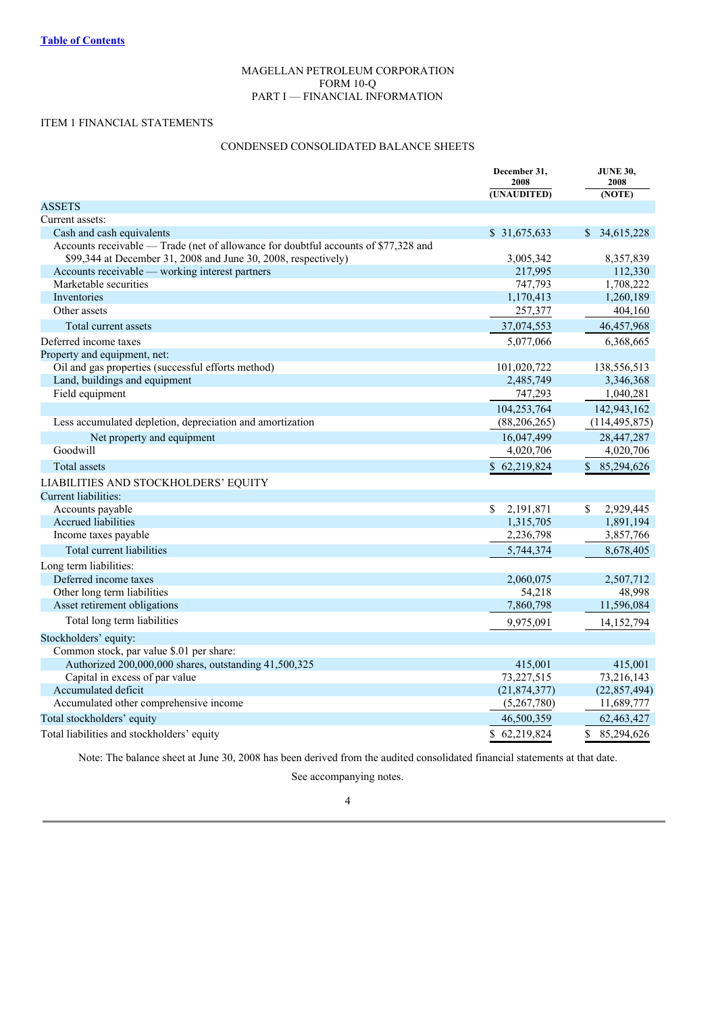# MAGELLAN PETROLEUM CORPORATION FORM 10-Q PART I — FINANCIAL INFORMATION

# ITEM 1 FINANCIAL STATEMENTS

# CONDENSED CONSOLIDATED BALANCE SHEETS

|                                                                                     | December 31,<br>2008 | <b>JUNE 30,</b><br>2008    |
|-------------------------------------------------------------------------------------|----------------------|----------------------------|
|                                                                                     | (UNAUDITED)          | (NOTE)                     |
| <b>ASSETS</b>                                                                       |                      |                            |
| Current assets:                                                                     |                      |                            |
| Cash and cash equivalents                                                           | \$31,675,633         | $\mathbb{S}$<br>34,615,228 |
| Accounts receivable — Trade (net of allowance for doubtful accounts of \$77,328 and |                      |                            |
| \$99,344 at December 31, 2008 and June 30, 2008, respectively)                      | 3,005,342            | 8,357,839                  |
| Accounts receivable — working interest partners                                     | 217,995              | 112,330                    |
| Marketable securities                                                               | 747,793              | 1,708,222                  |
| <b>Inventories</b>                                                                  | 1,170,413            | 1,260,189                  |
| Other assets                                                                        | 257,377              | 404,160                    |
| Total current assets                                                                | 37,074,553           | 46,457,968                 |
| Deferred income taxes                                                               | 5,077,066            | 6,368,665                  |
| Property and equipment, net:                                                        |                      |                            |
| Oil and gas properties (successful efforts method)                                  | 101,020,722          | 138,556,513                |
| Land, buildings and equipment                                                       | 2,485,749            | 3,346,368                  |
| Field equipment                                                                     | 747,293              | 1,040,281                  |
|                                                                                     | 104,253,764          | 142,943,162                |
| Less accumulated depletion, depreciation and amortization                           | (88, 206, 265)       | (114, 495, 875)            |
| Net property and equipment                                                          | 16,047,499           | 28,447,287                 |
| Goodwill                                                                            | 4,020,706            | 4,020,706                  |
| <b>Total</b> assets                                                                 | \$62,219,824         | \$<br>85,294,626           |
| LIABILITIES AND STOCKHOLDERS' EQUITY                                                |                      |                            |
| Current liabilities:                                                                |                      |                            |
| Accounts payable                                                                    | 2,191,871<br>\$      | S<br>2,929,445             |
| <b>Accrued liabilities</b>                                                          | 1,315,705            | 1,891,194                  |
| Income taxes payable                                                                | 2,236,798            | 3,857,766                  |
| Total current liabilities                                                           | 5,744,374            | 8,678,405                  |
| Long term liabilities:                                                              |                      |                            |
| Deferred income taxes                                                               | 2,060,075            | 2,507,712                  |
| Other long term liabilities                                                         | 54,218               | 48,998                     |
| Asset retirement obligations                                                        | 7,860,798            | 11,596,084                 |
| Total long term liabilities                                                         | 9,975,091            | 14,152,794                 |
|                                                                                     |                      |                            |
| Stockholders' equity:<br>Common stock, par value \$.01 per share:                   |                      |                            |
| Authorized 200,000,000 shares, outstanding 41,500,325                               |                      |                            |
|                                                                                     | 415,001              | 415,001                    |
| Capital in excess of par value<br>Accumulated deficit                               | 73,227,515           | 73,216,143                 |
| Accumulated other comprehensive income                                              | (21, 874, 377)       | (22, 857, 494)             |
|                                                                                     | (5,267,780)          | 11,689,777                 |
| Total stockholders' equity                                                          | 46,500,359           | 62,463,427                 |
| Total liabilities and stockholders' equity                                          | \$62,219,824         | \$<br>85,294,626           |

Note: The balance sheet at June 30, 2008 has been derived from the audited consolidated financial statements at that date.

See accompanying notes.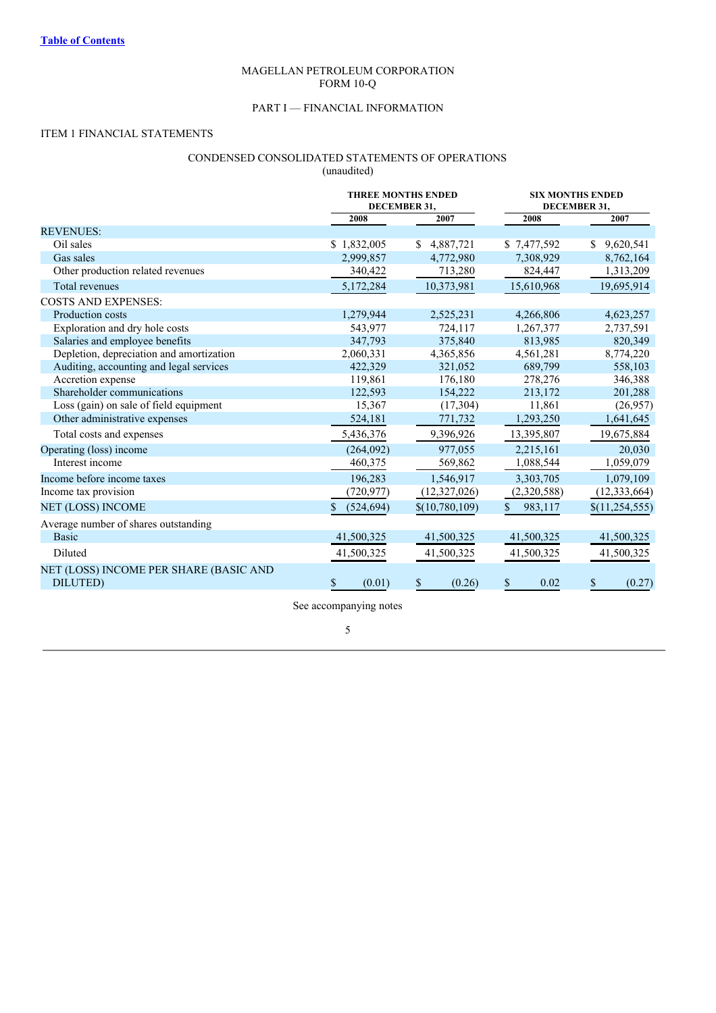# MAGELLAN PETROLEUM CORPORATION FORM 10-Q

# PART I — FINANCIAL INFORMATION

# ITEM 1 FINANCIAL STATEMENTS

# CONDENSED CONSOLIDATED STATEMENTS OF OPERATIONS

(unaudited)

|                                                            |                  | <b>THREE MONTHS ENDED</b><br>DECEMBER 31, |               | <b>SIX MONTHS ENDED</b><br>DECEMBER 31, |
|------------------------------------------------------------|------------------|-------------------------------------------|---------------|-----------------------------------------|
|                                                            | 2008             | 2007                                      | 2008          | 2007                                    |
| <b>REVENUES:</b>                                           |                  |                                           |               |                                         |
| Oil sales                                                  | \$1,832,005      | 4,887,721<br>\$                           | \$7,477,592   | 9,620,541<br>S.                         |
| Gas sales                                                  | 2,999,857        | 4,772,980                                 | 7,308,929     | 8,762,164                               |
| Other production related revenues                          | 340,422          | 713,280                                   | 824,447       | 1,313,209                               |
| Total revenues                                             | 5,172,284        | 10,373,981                                | 15,610,968    | 19,695,914                              |
| <b>COSTS AND EXPENSES:</b>                                 |                  |                                           |               |                                         |
| Production costs                                           | 1,279,944        | 2,525,231                                 | 4,266,806     | 4,623,257                               |
| Exploration and dry hole costs                             | 543,977          | 724,117                                   | 1,267,377     | 2,737,591                               |
| Salaries and employee benefits                             | 347,793          | 375,840                                   | 813,985       | 820,349                                 |
| Depletion, depreciation and amortization                   | 2,060,331        | 4,365,856                                 | 4,561,281     | 8,774,220                               |
| Auditing, accounting and legal services                    | 422,329          | 321,052                                   | 689,799       | 558,103                                 |
| Accretion expense                                          | 119,861          | 176,180                                   | 278,276       | 346,388                                 |
| Shareholder communications                                 | 122,593          | 154,222                                   | 213,172       | 201,288                                 |
| Loss (gain) on sale of field equipment                     | 15,367           | (17,304)                                  | 11,861        | (26,957)                                |
| Other administrative expenses                              | 524,181          | 771,732                                   | 1,293,250     | 1,641,645                               |
| Total costs and expenses                                   | 5,436,376        | 9,396,926                                 | 13,395,807    | 19,675,884                              |
| Operating (loss) income                                    | (264,092)        | 977,055                                   | 2,215,161     | 20,030                                  |
| Interest income                                            | 460,375          | 569,862                                   | 1,088,544     | 1,059,079                               |
| Income before income taxes                                 | 196,283          | 1,546,917                                 | 3,303,705     | 1,079,109                               |
| Income tax provision                                       | (720, 977)       | (12,327,026)                              | (2,320,588)   | (12, 333, 664)                          |
| NET (LOSS) INCOME                                          | \$<br>(524, 694) | \$(10,780,109)                            | \$<br>983,117 | \$(11,254,555)                          |
| Average number of shares outstanding                       |                  |                                           |               |                                         |
| <b>Basic</b>                                               | 41,500,325       | 41,500,325                                | 41,500,325    | 41,500,325                              |
| Diluted                                                    | 41,500,325       | 41,500,325                                | 41,500,325    | 41,500,325                              |
| NET (LOSS) INCOME PER SHARE (BASIC AND<br><b>DILUTED</b> ) | \$<br>(0.01)     | \$<br>(0.26)                              | \$<br>0.02    | \$<br>(0.27)                            |

See accompanying notes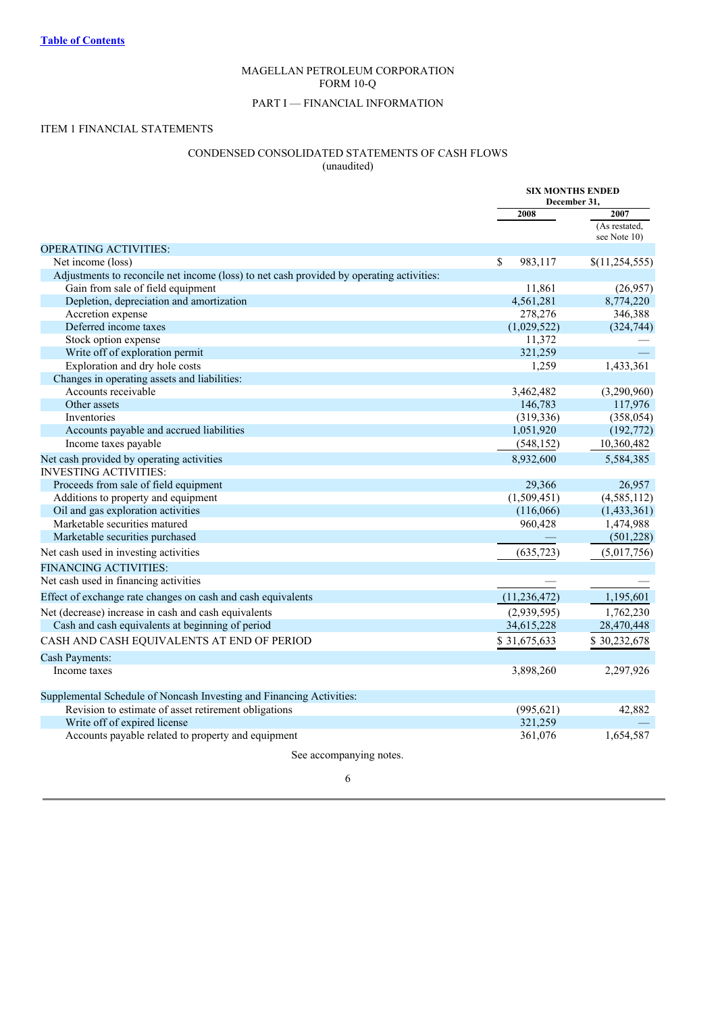# MAGELLAN PETROLEUM CORPORATION FORM 10-Q

# PART I — FINANCIAL INFORMATION

# ITEM 1 FINANCIAL STATEMENTS

# CONDENSED CONSOLIDATED STATEMENTS OF CASH FLOWS

(unaudited)

|                                                                                          | <b>SIX MONTHS ENDED</b><br>December 31, |                |                |
|------------------------------------------------------------------------------------------|-----------------------------------------|----------------|----------------|
|                                                                                          |                                         | 2008           | 2007           |
|                                                                                          |                                         |                | (As restated,  |
| <b>OPERATING ACTIVITIES:</b>                                                             |                                         |                | see Note 10)   |
| Net income (loss)                                                                        | \$                                      | 983,117        | \$(11,254,555) |
| Adjustments to reconcile net income (loss) to net cash provided by operating activities: |                                         |                |                |
| Gain from sale of field equipment                                                        |                                         | 11,861         | (26,957)       |
| Depletion, depreciation and amortization                                                 |                                         | 4,561,281      | 8,774,220      |
| Accretion expense                                                                        |                                         | 278,276        | 346,388        |
| Deferred income taxes                                                                    |                                         | (1,029,522)    | (324, 744)     |
| Stock option expense                                                                     |                                         | 11,372         |                |
| Write off of exploration permit                                                          |                                         | 321,259        |                |
| Exploration and dry hole costs                                                           |                                         | 1,259          | 1,433,361      |
| Changes in operating assets and liabilities:                                             |                                         |                |                |
| Accounts receivable                                                                      |                                         | 3,462,482      | (3,290,960)    |
| Other assets                                                                             |                                         | 146,783        | 117,976        |
| Inventories                                                                              |                                         | (319, 336)     | (358, 054)     |
| Accounts payable and accrued liabilities                                                 |                                         | 1,051,920      | (192, 772)     |
| Income taxes payable                                                                     |                                         | (548, 152)     | 10,360,482     |
| Net cash provided by operating activities                                                |                                         | 8,932,600      | 5,584,385      |
| <b>INVESTING ACTIVITIES:</b>                                                             |                                         |                |                |
| Proceeds from sale of field equipment                                                    |                                         | 29,366         | 26,957         |
| Additions to property and equipment                                                      |                                         | (1,509,451)    | (4,585,112)    |
| Oil and gas exploration activities                                                       |                                         | (116,066)      | (1,433,361)    |
| Marketable securities matured                                                            |                                         | 960,428        | 1,474,988      |
| Marketable securities purchased                                                          |                                         |                | (501, 228)     |
| Net cash used in investing activities                                                    |                                         | (635, 723)     | (5,017,756)    |
| <b>FINANCING ACTIVITIES:</b>                                                             |                                         |                |                |
| Net cash used in financing activities                                                    |                                         |                |                |
| Effect of exchange rate changes on cash and cash equivalents                             |                                         | (11, 236, 472) | 1,195,601      |
|                                                                                          |                                         |                |                |
| Net (decrease) increase in cash and cash equivalents                                     |                                         | (2,939,595)    | 1,762,230      |
| Cash and cash equivalents at beginning of period                                         |                                         | 34,615,228     | 28,470,448     |
| CASH AND CASH EQUIVALENTS AT END OF PERIOD                                               |                                         | \$31,675,633   | \$30,232,678   |
| <b>Cash Payments:</b>                                                                    |                                         |                |                |
| Income taxes                                                                             |                                         | 3,898,260      | 2,297,926      |
| Supplemental Schedule of Noncash Investing and Financing Activities:                     |                                         |                |                |
| Revision to estimate of asset retirement obligations                                     |                                         | (995, 621)     | 42,882         |
| Write off of expired license                                                             |                                         | 321,259        |                |
| Accounts payable related to property and equipment                                       |                                         | 361,076        | 1,654,587      |

See accompanying notes.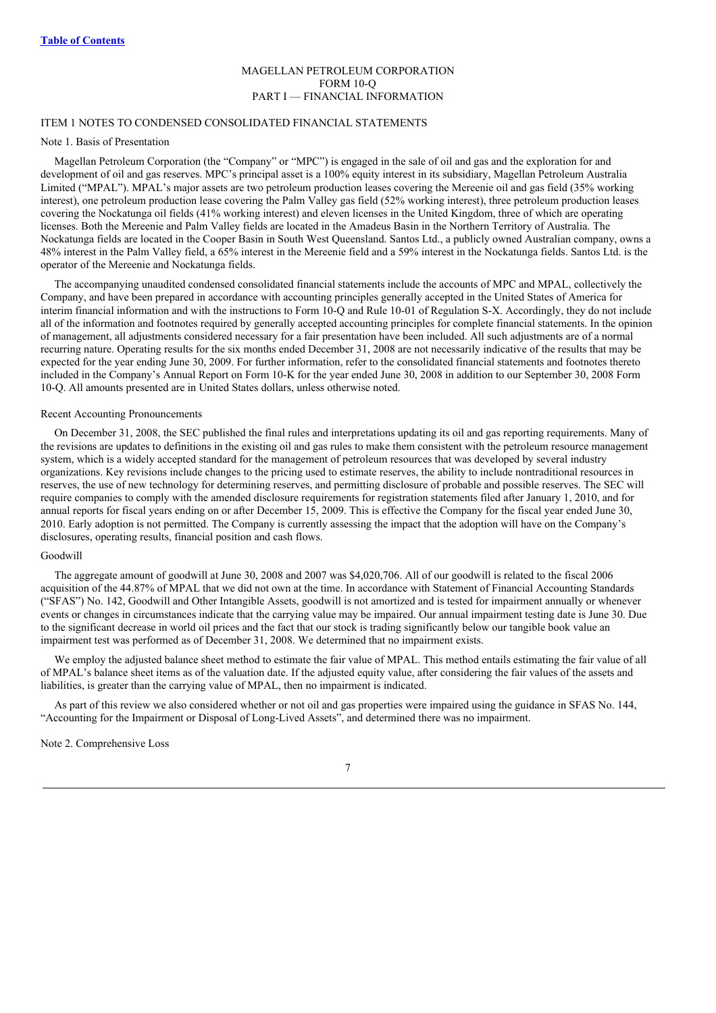# MAGELLAN PETROLEUM CORPORATION FORM 10-Q PART I — FINANCIAL INFORMATION

# ITEM 1 NOTES TO CONDENSED CONSOLIDATED FINANCIAL STATEMENTS

#### Note 1. Basis of Presentation

Magellan Petroleum Corporation (the "Company" or "MPC") is engaged in the sale of oil and gas and the exploration for and development of oil and gas reserves. MPC's principal asset is a 100% equity interest in its subsidiary, Magellan Petroleum Australia Limited ("MPAL"). MPAL's major assets are two petroleum production leases covering the Mereenie oil and gas field (35% working interest), one petroleum production lease covering the Palm Valley gas field (52% working interest), three petroleum production leases covering the Nockatunga oil fields (41% working interest) and eleven licenses in the United Kingdom, three of which are operating licenses. Both the Mereenie and Palm Valley fields are located in the Amadeus Basin in the Northern Territory of Australia. The Nockatunga fields are located in the Cooper Basin in South West Queensland. Santos Ltd., a publicly owned Australian company, owns a 48% interest in the Palm Valley field, a 65% interest in the Mereenie field and a 59% interest in the Nockatunga fields. Santos Ltd. is the operator of the Mereenie and Nockatunga fields.

The accompanying unaudited condensed consolidated financial statements include the accounts of MPC and MPAL, collectively the Company, and have been prepared in accordance with accounting principles generally accepted in the United States of America for interim financial information and with the instructions to Form 10-Q and Rule 10-01 of Regulation S-X. Accordingly, they do not include all of the information and footnotes required by generally accepted accounting principles for complete financial statements. In the opinion of management, all adjustments considered necessary for a fair presentation have been included. All such adjustments are of a normal recurring nature. Operating results for the six months ended December 31, 2008 are not necessarily indicative of the results that may be expected for the year ending June 30, 2009. For further information, refer to the consolidated financial statements and footnotes thereto included in the Company's Annual Report on Form 10-K for the year ended June 30, 2008 in addition to our September 30, 2008 Form 10-Q. All amounts presented are in United States dollars, unless otherwise noted.

#### Recent Accounting Pronouncements

On December 31, 2008, the SEC published the final rules and interpretations updating its oil and gas reporting requirements. Many of the revisions are updates to definitions in the existing oil and gas rules to make them consistent with the petroleum resource management system, which is a widely accepted standard for the management of petroleum resources that was developed by several industry organizations. Key revisions include changes to the pricing used to estimate reserves, the ability to include nontraditional resources in reserves, the use of new technology for determining reserves, and permitting disclosure of probable and possible reserves. The SEC will require companies to comply with the amended disclosure requirements for registration statements filed after January 1, 2010, and for annual reports for fiscal years ending on or after December 15, 2009. This is effective the Company for the fiscal year ended June 30, 2010. Early adoption is not permitted. The Company is currently assessing the impact that the adoption will have on the Company's disclosures, operating results, financial position and cash flows.

#### Goodwill

The aggregate amount of goodwill at June 30, 2008 and 2007 was \$4,020,706. All of our goodwill is related to the fiscal 2006 acquisition of the 44.87% of MPAL that we did not own at the time. In accordance with Statement of Financial Accounting Standards ("SFAS") No. 142, Goodwill and Other Intangible Assets, goodwill is not amortized and is tested for impairment annually or whenever events or changes in circumstances indicate that the carrying value may be impaired. Our annual impairment testing date is June 30. Due to the significant decrease in world oil prices and the fact that our stock is trading significantly below our tangible book value an impairment test was performed as of December 31, 2008. We determined that no impairment exists.

We employ the adjusted balance sheet method to estimate the fair value of MPAL. This method entails estimating the fair value of all of MPAL's balance sheet items as of the valuation date. If the adjusted equity value, after considering the fair values of the assets and liabilities, is greater than the carrying value of MPAL, then no impairment is indicated.

As part of this review we also considered whether or not oil and gas properties were impaired using the guidance in SFAS No. 144, "Accounting for the Impairment or Disposal of Long-Lived Assets", and determined there was no impairment.

Note 2. Comprehensive Loss

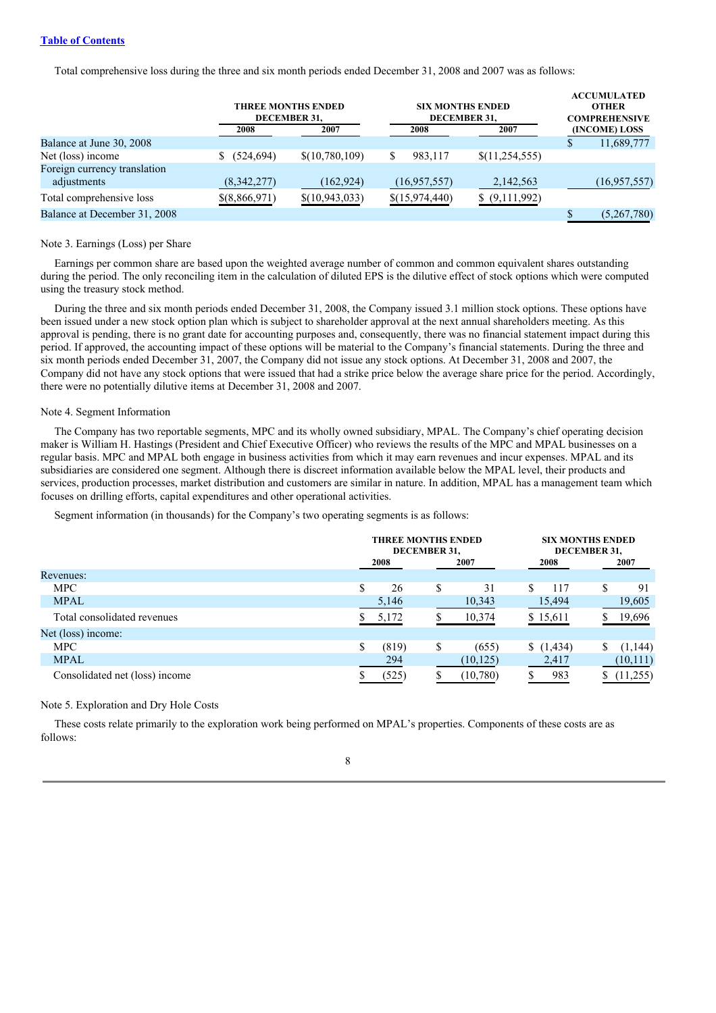Total comprehensive loss during the three and six month periods ended December 31, 2008 and 2007 was as follows:

|                              | <b>THREE MONTHS ENDED</b><br>DECEMBER 31. |                  |                | <b>SIX MONTHS ENDED</b><br>DECEMBER 31. |     | <b>ACCUMULATED</b><br><b>OTHER</b><br><b>COMPREHENSIVE</b> |
|------------------------------|-------------------------------------------|------------------|----------------|-----------------------------------------|-----|------------------------------------------------------------|
|                              | 2008                                      | 2007             | 2008           | 2007                                    |     | (INCOME) LOSS                                              |
| Balance at June 30, 2008     |                                           |                  |                |                                         | аb. | 11,689,777                                                 |
| Net (loss) income            | (524, 694)                                | \$(10,780,109)   | 983.117        | \$(11,254,555)                          |     |                                                            |
| Foreign currency translation |                                           |                  |                |                                         |     |                                                            |
| adjustments                  | (8,342,277)                               | (162, 924)       | (16,957,557)   | 2,142,563                               |     | (16,957,557)                                               |
| Total comprehensive loss     | \$(8,866,971)                             | \$(10, 943, 033) | \$(15,974,440) | \$ (9,111,992)                          |     |                                                            |
| Balance at December 31, 2008 |                                           |                  |                |                                         |     | (5,267,780)                                                |

#### Note 3. Earnings (Loss) per Share

Earnings per common share are based upon the weighted average number of common and common equivalent shares outstanding during the period. The only reconciling item in the calculation of diluted EPS is the dilutive effect of stock options which were computed using the treasury stock method.

During the three and six month periods ended December 31, 2008, the Company issued 3.1 million stock options. These options have been issued under a new stock option plan which is subject to shareholder approval at the next annual shareholders meeting. As this approval is pending, there is no grant date for accounting purposes and, consequently, there was no financial statement impact during this period. If approved, the accounting impact of these options will be material to the Company's financial statements. During the three and six month periods ended December 31, 2007, the Company did not issue any stock options. At December 31, 2008 and 2007, the Company did not have any stock options that were issued that had a strike price below the average share price for the period. Accordingly, there were no potentially dilutive items at December 31, 2008 and 2007.

#### Note 4. Segment Information

The Company has two reportable segments, MPC and its wholly owned subsidiary, MPAL. The Company's chief operating decision maker is William H. Hastings (President and Chief Executive Officer) who reviews the results of the MPC and MPAL businesses on a regular basis. MPC and MPAL both engage in business activities from which it may earn revenues and incur expenses. MPAL and its subsidiaries are considered one segment. Although there is discreet information available below the MPAL level, their products and services, production processes, market distribution and customers are similar in nature. In addition, MPAL has a management team which focuses on drilling efforts, capital expenditures and other operational activities.

Segment information (in thousands) for the Company's two operating segments is as follows:

|                                |       | <b>THREE MONTHS ENDED</b><br><b>DECEMBER 31.</b> |           |          | <b>SIX MONTHS ENDED</b><br>DECEMBER 31, |  |
|--------------------------------|-------|--------------------------------------------------|-----------|----------|-----------------------------------------|--|
|                                | 2008  |                                                  | 2007      | 2008     | 2007                                    |  |
| Revenues:                      |       |                                                  |           |          |                                         |  |
| <b>MPC</b>                     | \$    | 26<br>\$                                         | 31        | S<br>117 | S<br>91                                 |  |
| <b>MPAL</b>                    | 5,146 |                                                  | 10,343    | 15,494   | 19,605                                  |  |
| Total consolidated revenues    | 5,172 |                                                  | 10,374    | \$15,611 | 19,696<br>S                             |  |
| Net (loss) income:             |       |                                                  |           |          |                                         |  |
| <b>MPC</b>                     | S     | (819)<br>\$                                      | (655)     | (1,434)  | (1,144)<br>S                            |  |
| <b>MPAL</b>                    |       | 294                                              | (10, 125) | 2,417    | (10, 111)                               |  |
| Consolidated net (loss) income |       | (525)                                            | (10,780)  | 983      | (11,255)                                |  |

# Note 5. Exploration and Dry Hole Costs

These costs relate primarily to the exploration work being performed on MPAL's properties. Components of these costs are as follows: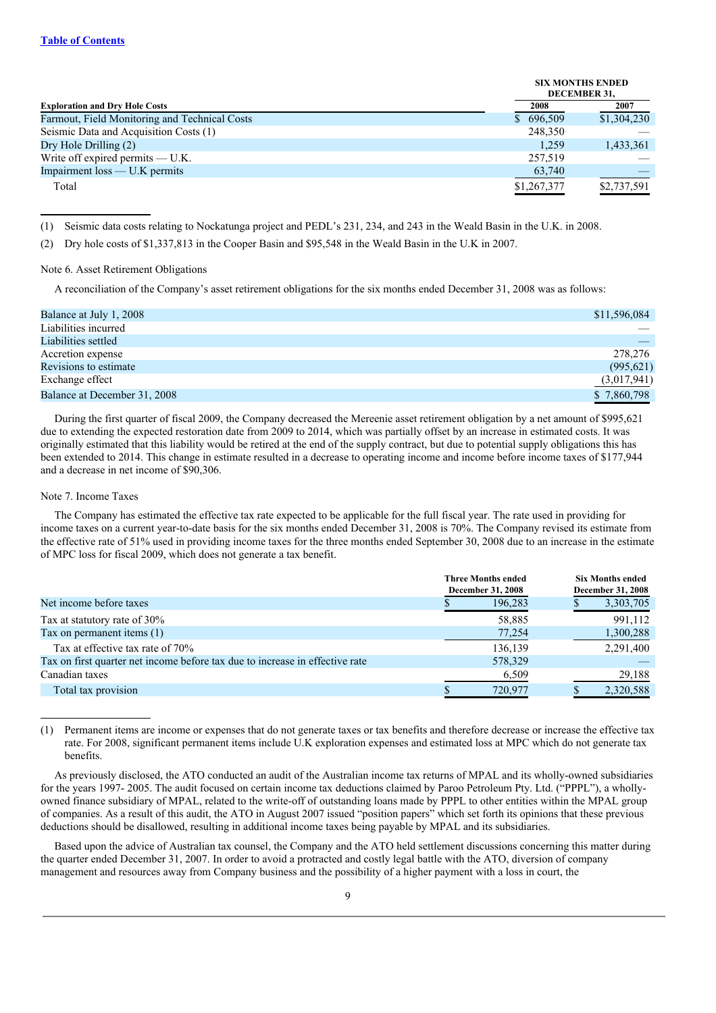### **Table of [Contents](#page-0-0)**

|                                               |             | <b>SIX MONTHS ENDED</b><br>DECEMBER 31, |
|-----------------------------------------------|-------------|-----------------------------------------|
| <b>Exploration and Dry Hole Costs</b>         | 2008        | 2007                                    |
| Farmout, Field Monitoring and Technical Costs | \$696,509   | \$1,304,230                             |
| Seismic Data and Acquisition Costs (1)        | 248,350     |                                         |
| Dry Hole Drilling (2)                         | 1.259       | 1,433,361                               |
| Write off expired permits $-$ U.K.            | 257,519     |                                         |
| Impairment $loss - U.K$ permits               | 63,740      |                                         |
| Total                                         | \$1,267,377 | \$2,737,591                             |

(1) Seismic data costs relating to Nockatunga project and PEDL's 231, 234, and 243 in the Weald Basin in the U.K. in 2008.

(2) Dry hole costs of \$1,337,813 in the Cooper Basin and \$95,548 in the Weald Basin in the U.K in 2007.

#### Note 6. Asset Retirement Obligations

A reconciliation of the Company's asset retirement obligations for the six months ended December 31, 2008 was as follows:

| Balance at July 1, 2008      | \$11,596,084 |
|------------------------------|--------------|
| Liabilities incurred         |              |
| Liabilities settled          |              |
| Accretion expense            | 278,276      |
| Revisions to estimate        | (995, 621)   |
| Exchange effect              | (3,017,941)  |
| Balance at December 31, 2008 | \$7,860,798  |

During the first quarter of fiscal 2009, the Company decreased the Mereenie asset retirement obligation by a net amount of \$995,621 due to extending the expected restoration date from 2009 to 2014, which was partially offset by an increase in estimated costs. It was originally estimated that this liability would be retired at the end of the supply contract, but due to potential supply obligations this has been extended to 2014. This change in estimate resulted in a decrease to operating income and income before income taxes of \$177,944 and a decrease in net income of \$90,306.

#### Note 7. Income Taxes

The Company has estimated the effective tax rate expected to be applicable for the full fiscal year. The rate used in providing for income taxes on a current year-to-date basis for the six months ended December 31, 2008 is 70%. The Company revised its estimate from the effective rate of 51% used in providing income taxes for the three months ended September 30, 2008 due to an increase in the estimate of MPC loss for fiscal 2009, which does not generate a tax benefit.

|                                                                              | <b>Three Months ended</b><br>December 31, 2008 | <b>Six Months ended</b><br><b>December 31, 2008</b> |           |  |
|------------------------------------------------------------------------------|------------------------------------------------|-----------------------------------------------------|-----------|--|
| Net income before taxes                                                      | 196,283                                        |                                                     | 3,303,705 |  |
| Tax at statutory rate of 30%                                                 | 58,885                                         |                                                     | 991.112   |  |
| Tax on permanent items (1)                                                   | 77,254                                         |                                                     | 1,300,288 |  |
| Tax at effective tax rate of 70%                                             | 136,139                                        |                                                     | 2,291,400 |  |
| Tax on first quarter net income before tax due to increase in effective rate | 578,329                                        |                                                     |           |  |
| Canadian taxes                                                               | 6,509                                          |                                                     | 29,188    |  |
| Total tax provision                                                          | 720,977                                        |                                                     | 2,320,588 |  |

(1) Permanent items are income or expenses that do not generate taxes or tax benefits and therefore decrease or increase the effective tax rate. For 2008, significant permanent items include U.K exploration expenses and estimated loss at MPC which do not generate tax benefits.

As previously disclosed, the ATO conducted an audit of the Australian income tax returns of MPAL and its wholly-owned subsidiaries for the years 1997- 2005. The audit focused on certain income tax deductions claimed by Paroo Petroleum Pty. Ltd. ("PPPL"), a whollyowned finance subsidiary of MPAL, related to the write-off of outstanding loans made by PPPL to other entities within the MPAL group of companies. As a result of this audit, the ATO in August 2007 issued "position papers" which set forth its opinions that these previous deductions should be disallowed, resulting in additional income taxes being payable by MPAL and its subsidiaries.

Based upon the advice of Australian tax counsel, the Company and the ATO held settlement discussions concerning this matter during the quarter ended December 31, 2007. In order to avoid a protracted and costly legal battle with the ATO, diversion of company management and resources away from Company business and the possibility of a higher payment with a loss in court, the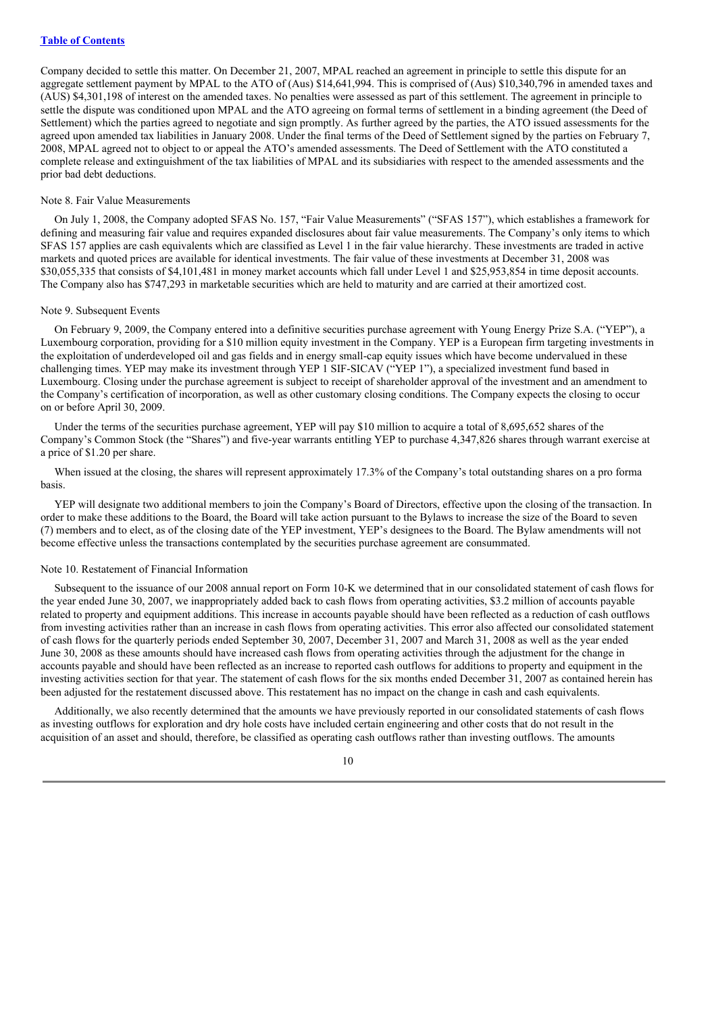Company decided to settle this matter. On December 21, 2007, MPAL reached an agreement in principle to settle this dispute for an aggregate settlement payment by MPAL to the ATO of (Aus) \$14,641,994. This is comprised of (Aus) \$10,340,796 in amended taxes and (AUS) \$4,301,198 of interest on the amended taxes. No penalties were assessed as part of this settlement. The agreement in principle to settle the dispute was conditioned upon MPAL and the ATO agreeing on formal terms of settlement in a binding agreement (the Deed of Settlement) which the parties agreed to negotiate and sign promptly. As further agreed by the parties, the ATO issued assessments for the agreed upon amended tax liabilities in January 2008. Under the final terms of the Deed of Settlement signed by the parties on February 7, 2008, MPAL agreed not to object to or appeal the ATO's amended assessments. The Deed of Settlement with the ATO constituted a complete release and extinguishment of the tax liabilities of MPAL and its subsidiaries with respect to the amended assessments and the prior bad debt deductions.

#### Note 8. Fair Value Measurements

On July 1, 2008, the Company adopted SFAS No. 157, "Fair Value Measurements" ("SFAS 157"), which establishes a framework for defining and measuring fair value and requires expanded disclosures about fair value measurements. The Company's only items to which SFAS 157 applies are cash equivalents which are classified as Level 1 in the fair value hierarchy. These investments are traded in active markets and quoted prices are available for identical investments. The fair value of these investments at December 31, 2008 was \$30,055,335 that consists of \$4,101,481 in money market accounts which fall under Level 1 and \$25,953,854 in time deposit accounts. The Company also has \$747,293 in marketable securities which are held to maturity and are carried at their amortized cost.

#### Note 9. Subsequent Events

On February 9, 2009, the Company entered into a definitive securities purchase agreement with Young Energy Prize S.A. ("YEP"), a Luxembourg corporation, providing for a \$10 million equity investment in the Company. YEP is a European firm targeting investments in the exploitation of underdeveloped oil and gas fields and in energy small-cap equity issues which have become undervalued in these challenging times. YEP may make its investment through YEP 1 SIF-SICAV ("YEP 1"), a specialized investment fund based in Luxembourg. Closing under the purchase agreement is subject to receipt of shareholder approval of the investment and an amendment to the Company's certification of incorporation, as well as other customary closing conditions. The Company expects the closing to occur on or before April 30, 2009.

Under the terms of the securities purchase agreement, YEP will pay \$10 million to acquire a total of 8,695,652 shares of the Company's Common Stock (the "Shares") and five-year warrants entitling YEP to purchase 4,347,826 shares through warrant exercise at a price of \$1.20 per share.

When issued at the closing, the shares will represent approximately 17.3% of the Company's total outstanding shares on a pro forma basis.

YEP will designate two additional members to join the Company's Board of Directors, effective upon the closing of the transaction. In order to make these additions to the Board, the Board will take action pursuant to the Bylaws to increase the size of the Board to seven (7) members and to elect, as of the closing date of the YEP investment, YEP's designees to the Board. The Bylaw amendments will not become effective unless the transactions contemplated by the securities purchase agreement are consummated.

#### Note 10. Restatement of Financial Information

Subsequent to the issuance of our 2008 annual report on Form 10-K we determined that in our consolidated statement of cash flows for the year ended June 30, 2007, we inappropriately added back to cash flows from operating activities, \$3.2 million of accounts payable related to property and equipment additions. This increase in accounts payable should have been reflected as a reduction of cash outflows from investing activities rather than an increase in cash flows from operating activities. This error also affected our consolidated statement of cash flows for the quarterly periods ended September 30, 2007, December 31, 2007 and March 31, 2008 as well as the year ended June 30, 2008 as these amounts should have increased cash flows from operating activities through the adjustment for the change in accounts payable and should have been reflected as an increase to reported cash outflows for additions to property and equipment in the investing activities section for that year. The statement of cash flows for the six months ended December 31, 2007 as contained herein has been adjusted for the restatement discussed above. This restatement has no impact on the change in cash and cash equivalents.

Additionally, we also recently determined that the amounts we have previously reported in our consolidated statements of cash flows as investing outflows for exploration and dry hole costs have included certain engineering and other costs that do not result in the acquisition of an asset and should, therefore, be classified as operating cash outflows rather than investing outflows. The amounts

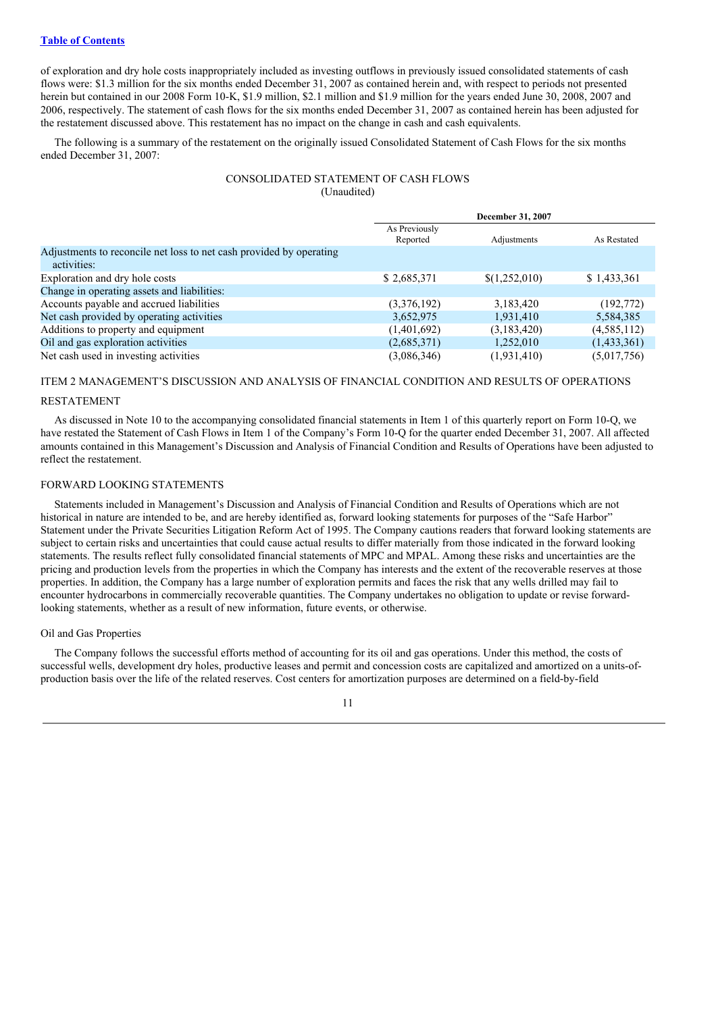of exploration and dry hole costs inappropriately included as investing outflows in previously issued consolidated statements of cash flows were: \$1.3 million for the six months ended December 31, 2007 as contained herein and, with respect to periods not presented herein but contained in our 2008 Form 10-K, \$1.9 million, \$2.1 million and \$1.9 million for the years ended June 30, 2008, 2007 and 2006, respectively. The statement of cash flows for the six months ended December 31, 2007 as contained herein has been adjusted for the restatement discussed above. This restatement has no impact on the change in cash and cash equivalents.

The following is a summary of the restatement on the originally issued Consolidated Statement of Cash Flows for the six months ended December 31, 2007:

# CONSOLIDATED STATEMENT OF CASH FLOWS (Unaudited)

|                                                                     | December 31, 2007         |               |               |  |  |
|---------------------------------------------------------------------|---------------------------|---------------|---------------|--|--|
|                                                                     | As Previously<br>Reported | Adjustments   | As Restated   |  |  |
| Adjustments to reconcile net loss to net cash provided by operating |                           |               |               |  |  |
| activities:                                                         |                           |               |               |  |  |
| Exploration and dry hole costs                                      | \$2,685,371               | \$(1,252,010) | \$1,433,361   |  |  |
| Change in operating assets and liabilities:                         |                           |               |               |  |  |
| Accounts payable and accrued liabilities                            | (3,376,192)               | 3,183,420     | (192,772)     |  |  |
| Net cash provided by operating activities                           | 3,652,975                 | 1,931,410     | 5,584,385     |  |  |
| Additions to property and equipment                                 | (1,401,692)               | (3,183,420)   | (4, 585, 112) |  |  |
| Oil and gas exploration activities                                  | (2,685,371)               | 1,252,010     | (1,433,361)   |  |  |
| Net cash used in investing activities                               | (3,086,346)               | (1,931,410)   | (5,017,756)   |  |  |

# ITEM 2 MANAGEMENT'S DISCUSSION AND ANALYSIS OF FINANCIAL CONDITION AND RESULTS OF OPERATIONS

#### RESTATEMENT

As discussed in Note 10 to the accompanying consolidated financial statements in Item 1 of this quarterly report on Form 10-Q, we have restated the Statement of Cash Flows in Item 1 of the Company's Form 10-Q for the quarter ended December 31, 2007. All affected amounts contained in this Management's Discussion and Analysis of Financial Condition and Results of Operations have been adjusted to reflect the restatement.

### FORWARD LOOKING STATEMENTS

Statements included in Management's Discussion and Analysis of Financial Condition and Results of Operations which are not historical in nature are intended to be, and are hereby identified as, forward looking statements for purposes of the "Safe Harbor" Statement under the Private Securities Litigation Reform Act of 1995. The Company cautions readers that forward looking statements are subject to certain risks and uncertainties that could cause actual results to differ materially from those indicated in the forward looking statements. The results reflect fully consolidated financial statements of MPC and MPAL. Among these risks and uncertainties are the pricing and production levels from the properties in which the Company has interests and the extent of the recoverable reserves at those properties. In addition, the Company has a large number of exploration permits and faces the risk that any wells drilled may fail to encounter hydrocarbons in commercially recoverable quantities. The Company undertakes no obligation to update or revise forwardlooking statements, whether as a result of new information, future events, or otherwise.

### Oil and Gas Properties

The Company follows the successful efforts method of accounting for its oil and gas operations. Under this method, the costs of successful wells, development dry holes, productive leases and permit and concession costs are capitalized and amortized on a units-ofproduction basis over the life of the related reserves. Cost centers for amortization purposes are determined on a field-by-field

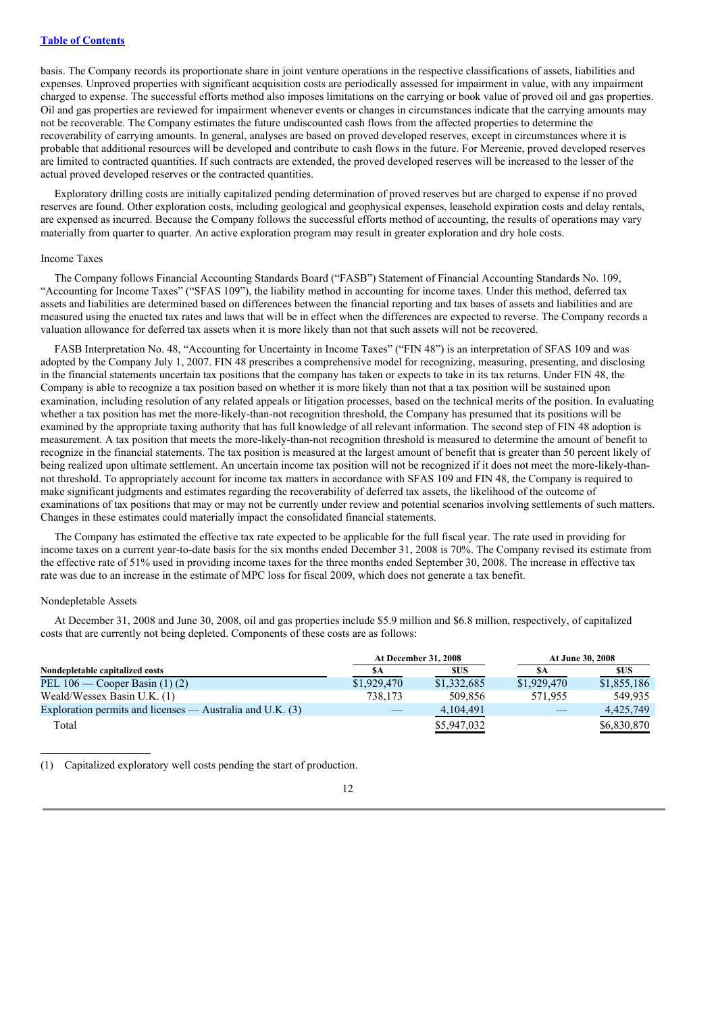basis. The Company records its proportionate share in joint venture operations in the respective classifications of assets, liabilities and expenses. Unproved properties with significant acquisition costs are periodically assessed for impairment in value, with any impairment charged to expense. The successful efforts method also imposes limitations on the carrying or book value of proved oil and gas properties. Oil and gas properties are reviewed for impairment whenever events or changes in circumstances indicate that the carrying amounts may not be recoverable. The Company estimates the future undiscounted cash flows from the affected properties to determine the recoverability of carrying amounts. In general, analyses are based on proved developed reserves, except in circumstances where it is probable that additional resources will be developed and contribute to cash flows in the future. For Mereenie, proved developed reserves are limited to contracted quantities. If such contracts are extended, the proved developed reserves will be increased to the lesser of the actual proved developed reserves or the contracted quantities.

Exploratory drilling costs are initially capitalized pending determination of proved reserves but are charged to expense if no proved reserves are found. Other exploration costs, including geological and geophysical expenses, leasehold expiration costs and delay rentals, are expensed as incurred. Because the Company follows the successful efforts method of accounting, the results of operations may vary materially from quarter to quarter. An active exploration program may result in greater exploration and dry hole costs.

#### Income Taxes

The Company follows Financial Accounting Standards Board ("FASB") Statement of Financial Accounting Standards No. 109, "Accounting for Income Taxes" ("SFAS 109"), the liability method in accounting for income taxes. Under this method, deferred tax assets and liabilities are determined based on differences between the financial reporting and tax bases of assets and liabilities and are measured using the enacted tax rates and laws that will be in effect when the differences are expected to reverse. The Company records a valuation allowance for deferred tax assets when it is more likely than not that such assets will not be recovered.

FASB Interpretation No. 48, "Accounting for Uncertainty in Income Taxes" ("FIN 48") is an interpretation of SFAS 109 and was adopted by the Company July 1, 2007. FIN 48 prescribes a comprehensive model for recognizing, measuring, presenting, and disclosing in the financial statements uncertain tax positions that the company has taken or expects to take in its tax returns. Under FIN 48, the Company is able to recognize a tax position based on whether it is more likely than not that a tax position will be sustained upon examination, including resolution of any related appeals or litigation processes, based on the technical merits of the position. In evaluating whether a tax position has met the more-likely-than-not recognition threshold, the Company has presumed that its positions will be examined by the appropriate taxing authority that has full knowledge of all relevant information. The second step of FIN 48 adoption is measurement. A tax position that meets the more-likely-than-not recognition threshold is measured to determine the amount of benefit to recognize in the financial statements. The tax position is measured at the largest amount of benefit that is greater than 50 percent likely of being realized upon ultimate settlement. An uncertain income tax position will not be recognized if it does not meet the more-likely-thannot threshold. To appropriately account for income tax matters in accordance with SFAS 109 and FIN 48, the Company is required to make significant judgments and estimates regarding the recoverability of deferred tax assets, the likelihood of the outcome of examinations of tax positions that may or may not be currently under review and potential scenarios involving settlements of such matters. Changes in these estimates could materially impact the consolidated financial statements.

The Company has estimated the effective tax rate expected to be applicable for the full fiscal year. The rate used in providing for income taxes on a current year-to-date basis for the six months ended December 31, 2008 is 70%. The Company revised its estimate from the effective rate of 51% used in providing income taxes for the three months ended September 30, 2008. The increase in effective tax rate was due to an increase in the estimate of MPC loss for fiscal 2009, which does not generate a tax benefit.

#### Nondepletable Assets

At December 31, 2008 and June 30, 2008, oil and gas properties include \$5.9 million and \$6.8 million, respectively, of capitalized costs that are currently not being depleted. Components of these costs are as follows:

|                                                             |             | <b>At December 31, 2008</b> |             | At June 30, 2008 |
|-------------------------------------------------------------|-------------|-----------------------------|-------------|------------------|
| Nondepletable capitalized costs                             | -SA         | <b>SUS</b>                  | \$A         | <b>SUS</b>       |
| PEL $106$ — Cooper Basin (1) (2)                            | \$1,929,470 | \$1,332,685                 | \$1,929,470 | \$1,855,186      |
| Weald/Wessex Basin U.K. (1)                                 | 738.173     | 509,856                     | 571.955     | 549.935          |
| Exploration permits and licenses — Australia and U.K. $(3)$ |             | 4.104.491                   |             | 4,425,749        |
| Total                                                       |             | \$5,947,032                 |             | \$6,830,870      |

(1) Capitalized exploratory well costs pending the start of production.

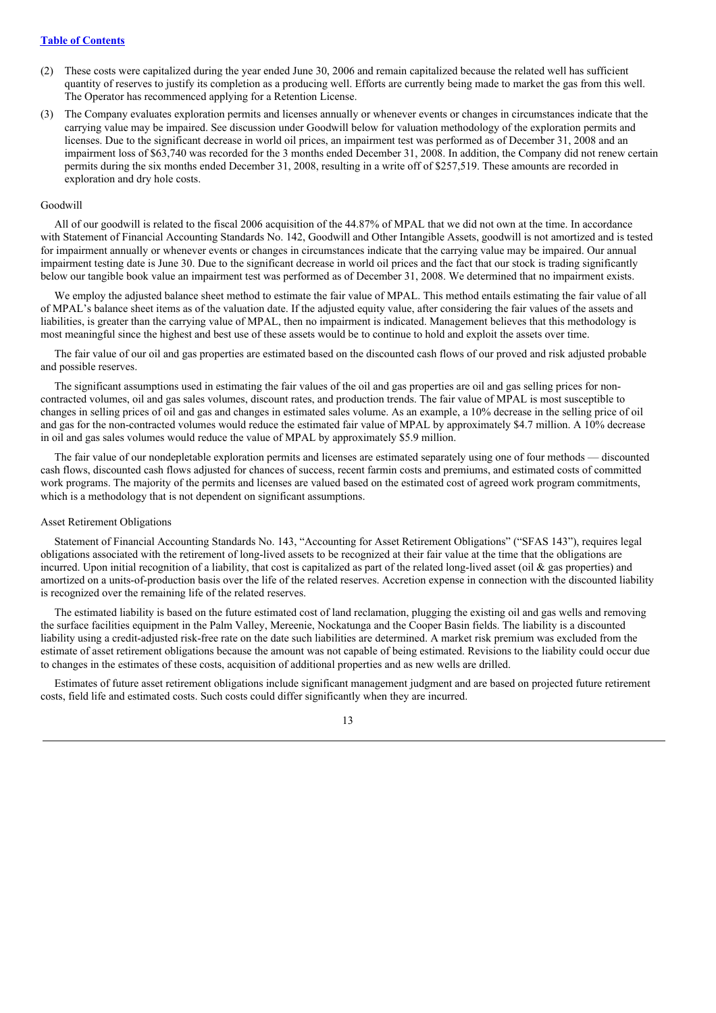#### **Table of [Contents](#page-0-0)**

- (2) These costs were capitalized during the year ended June 30, 2006 and remain capitalized because the related well has sufficient quantity of reserves to justify its completion as a producing well. Efforts are currently being made to market the gas from this well. The Operator has recommenced applying for a Retention License.
- (3) The Company evaluates exploration permits and licenses annually or whenever events or changes in circumstances indicate that the carrying value may be impaired. See discussion under Goodwill below for valuation methodology of the exploration permits and licenses. Due to the significant decrease in world oil prices, an impairment test was performed as of December 31, 2008 and an impairment loss of \$63,740 was recorded for the 3 months ended December 31, 2008. In addition, the Company did not renew certain permits during the six months ended December 31, 2008, resulting in a write off of \$257,519. These amounts are recorded in exploration and dry hole costs.

#### Goodwill

All of our goodwill is related to the fiscal 2006 acquisition of the 44.87% of MPAL that we did not own at the time. In accordance with Statement of Financial Accounting Standards No. 142, Goodwill and Other Intangible Assets, goodwill is not amortized and is tested for impairment annually or whenever events or changes in circumstances indicate that the carrying value may be impaired. Our annual impairment testing date is June 30. Due to the significant decrease in world oil prices and the fact that our stock is trading significantly below our tangible book value an impairment test was performed as of December 31, 2008. We determined that no impairment exists.

We employ the adjusted balance sheet method to estimate the fair value of MPAL. This method entails estimating the fair value of all of MPAL's balance sheet items as of the valuation date. If the adjusted equity value, after considering the fair values of the assets and liabilities, is greater than the carrying value of MPAL, then no impairment is indicated. Management believes that this methodology is most meaningful since the highest and best use of these assets would be to continue to hold and exploit the assets over time.

The fair value of our oil and gas properties are estimated based on the discounted cash flows of our proved and risk adjusted probable and possible reserves.

The significant assumptions used in estimating the fair values of the oil and gas properties are oil and gas selling prices for noncontracted volumes, oil and gas sales volumes, discount rates, and production trends. The fair value of MPAL is most susceptible to changes in selling prices of oil and gas and changes in estimated sales volume. As an example, a 10% decrease in the selling price of oil and gas for the non-contracted volumes would reduce the estimated fair value of MPAL by approximately \$4.7 million. A 10% decrease in oil and gas sales volumes would reduce the value of MPAL by approximately \$5.9 million.

The fair value of our nondepletable exploration permits and licenses are estimated separately using one of four methods — discounted cash flows, discounted cash flows adjusted for chances of success, recent farmin costs and premiums, and estimated costs of committed work programs. The majority of the permits and licenses are valued based on the estimated cost of agreed work program commitments, which is a methodology that is not dependent on significant assumptions.

### Asset Retirement Obligations

Statement of Financial Accounting Standards No. 143, "Accounting for Asset Retirement Obligations" ("SFAS 143"), requires legal obligations associated with the retirement of long-lived assets to be recognized at their fair value at the time that the obligations are incurred. Upon initial recognition of a liability, that cost is capitalized as part of the related long-lived asset (oil  $\&$  gas properties) and amortized on a units-of-production basis over the life of the related reserves. Accretion expense in connection with the discounted liability is recognized over the remaining life of the related reserves.

The estimated liability is based on the future estimated cost of land reclamation, plugging the existing oil and gas wells and removing the surface facilities equipment in the Palm Valley, Mereenie, Nockatunga and the Cooper Basin fields. The liability is a discounted liability using a credit-adjusted risk-free rate on the date such liabilities are determined. A market risk premium was excluded from the estimate of asset retirement obligations because the amount was not capable of being estimated. Revisions to the liability could occur due to changes in the estimates of these costs, acquisition of additional properties and as new wells are drilled.

Estimates of future asset retirement obligations include significant management judgment and are based on projected future retirement costs, field life and estimated costs. Such costs could differ significantly when they are incurred.

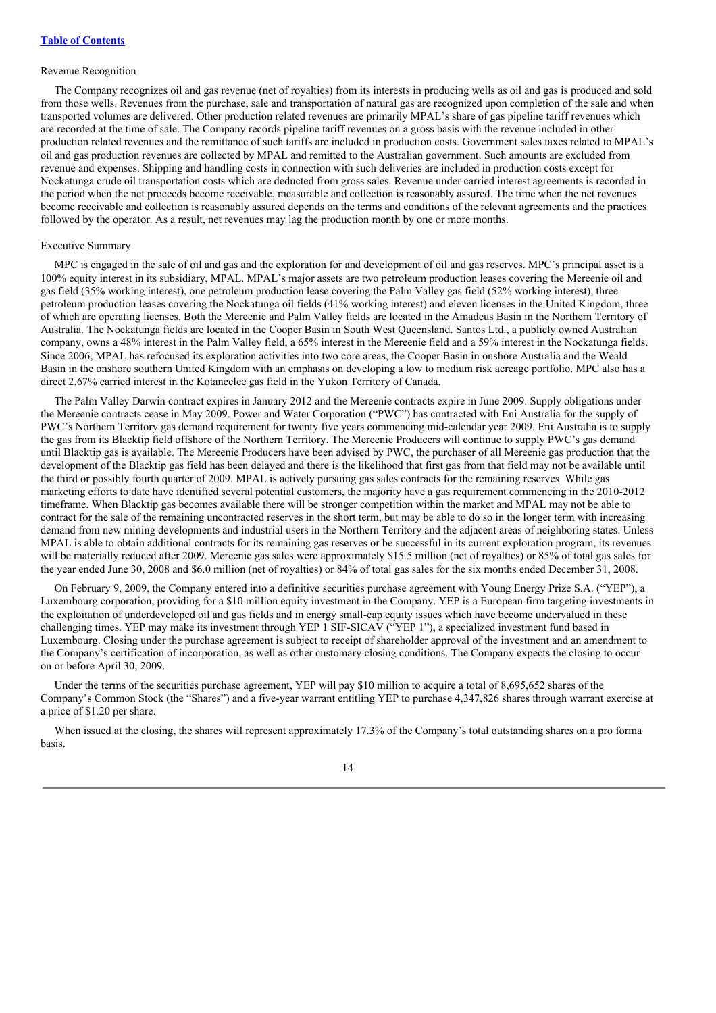### Revenue Recognition

The Company recognizes oil and gas revenue (net of royalties) from its interests in producing wells as oil and gas is produced and sold from those wells. Revenues from the purchase, sale and transportation of natural gas are recognized upon completion of the sale and when transported volumes are delivered. Other production related revenues are primarily MPAL's share of gas pipeline tariff revenues which are recorded at the time of sale. The Company records pipeline tariff revenues on a gross basis with the revenue included in other production related revenues and the remittance of such tariffs are included in production costs. Government sales taxes related to MPAL's oil and gas production revenues are collected by MPAL and remitted to the Australian government. Such amounts are excluded from revenue and expenses. Shipping and handling costs in connection with such deliveries are included in production costs except for Nockatunga crude oil transportation costs which are deducted from gross sales. Revenue under carried interest agreements is recorded in the period when the net proceeds become receivable, measurable and collection is reasonably assured. The time when the net revenues become receivable and collection is reasonably assured depends on the terms and conditions of the relevant agreements and the practices followed by the operator. As a result, net revenues may lag the production month by one or more months.

#### Executive Summary

MPC is engaged in the sale of oil and gas and the exploration for and development of oil and gas reserves. MPC's principal asset is a 100% equity interest in its subsidiary, MPAL. MPAL's major assets are two petroleum production leases covering the Mereenie oil and gas field (35% working interest), one petroleum production lease covering the Palm Valley gas field (52% working interest), three petroleum production leases covering the Nockatunga oil fields (41% working interest) and eleven licenses in the United Kingdom, three of which are operating licenses. Both the Mereenie and Palm Valley fields are located in the Amadeus Basin in the Northern Territory of Australia. The Nockatunga fields are located in the Cooper Basin in South West Queensland. Santos Ltd., a publicly owned Australian company, owns a 48% interest in the Palm Valley field, a 65% interest in the Mereenie field and a 59% interest in the Nockatunga fields. Since 2006, MPAL has refocused its exploration activities into two core areas, the Cooper Basin in onshore Australia and the Weald Basin in the onshore southern United Kingdom with an emphasis on developing a low to medium risk acreage portfolio. MPC also has a direct 2.67% carried interest in the Kotaneelee gas field in the Yukon Territory of Canada.

The Palm Valley Darwin contract expires in January 2012 and the Mereenie contracts expire in June 2009. Supply obligations under the Mereenie contracts cease in May 2009. Power and Water Corporation ("PWC") has contracted with Eni Australia for the supply of PWC's Northern Territory gas demand requirement for twenty five years commencing mid-calendar year 2009. Eni Australia is to supply the gas from its Blacktip field offshore of the Northern Territory. The Mereenie Producers will continue to supply PWC's gas demand until Blacktip gas is available. The Mereenie Producers have been advised by PWC, the purchaser of all Mereenie gas production that the development of the Blacktip gas field has been delayed and there is the likelihood that first gas from that field may not be available until the third or possibly fourth quarter of 2009. MPAL is actively pursuing gas sales contracts for the remaining reserves. While gas marketing efforts to date have identified several potential customers, the majority have a gas requirement commencing in the 2010-2012 timeframe. When Blacktip gas becomes available there will be stronger competition within the market and MPAL may not be able to contract for the sale of the remaining uncontracted reserves in the short term, but may be able to do so in the longer term with increasing demand from new mining developments and industrial users in the Northern Territory and the adjacent areas of neighboring states. Unless MPAL is able to obtain additional contracts for its remaining gas reserves or be successful in its current exploration program, its revenues will be materially reduced after 2009. Mereenie gas sales were approximately \$15.5 million (net of royalties) or 85% of total gas sales for the year ended June 30, 2008 and \$6.0 million (net of royalties) or 84% of total gas sales for the six months ended December 31, 2008.

On February 9, 2009, the Company entered into a definitive securities purchase agreement with Young Energy Prize S.A. ("YEP"), a Luxembourg corporation, providing for a \$10 million equity investment in the Company. YEP is a European firm targeting investments in the exploitation of underdeveloped oil and gas fields and in energy small-cap equity issues which have become undervalued in these challenging times. YEP may make its investment through YEP 1 SIF-SICAV ("YEP 1"), a specialized investment fund based in Luxembourg. Closing under the purchase agreement is subject to receipt of shareholder approval of the investment and an amendment to the Company's certification of incorporation, as well as other customary closing conditions. The Company expects the closing to occur on or before April 30, 2009.

Under the terms of the securities purchase agreement, YEP will pay \$10 million to acquire a total of 8,695,652 shares of the Company's Common Stock (the "Shares") and a five-year warrant entitling YEP to purchase 4,347,826 shares through warrant exercise at a price of \$1.20 per share.

When issued at the closing, the shares will represent approximately 17.3% of the Company's total outstanding shares on a pro forma basis.

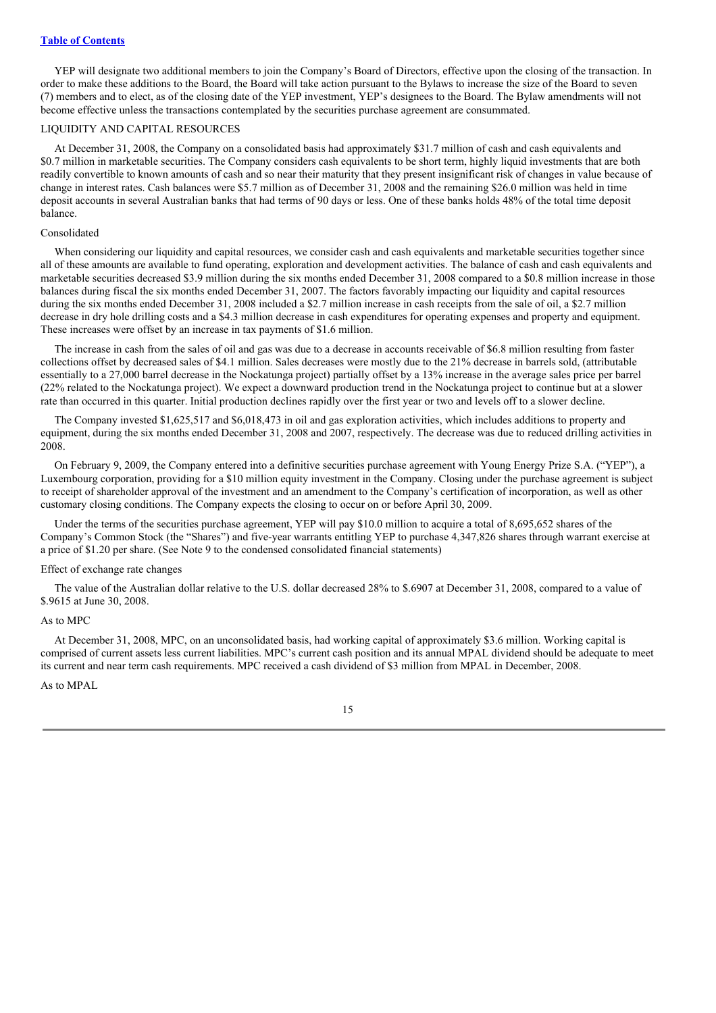YEP will designate two additional members to join the Company's Board of Directors, effective upon the closing of the transaction. In order to make these additions to the Board, the Board will take action pursuant to the Bylaws to increase the size of the Board to seven (7) members and to elect, as of the closing date of the YEP investment, YEP's designees to the Board. The Bylaw amendments will not become effective unless the transactions contemplated by the securities purchase agreement are consummated.

#### LIQUIDITY AND CAPITAL RESOURCES

At December 31, 2008, the Company on a consolidated basis had approximately \$31.7 million of cash and cash equivalents and \$0.7 million in marketable securities. The Company considers cash equivalents to be short term, highly liquid investments that are both readily convertible to known amounts of cash and so near their maturity that they present insignificant risk of changes in value because of change in interest rates. Cash balances were \$5.7 million as of December 31, 2008 and the remaining \$26.0 million was held in time deposit accounts in several Australian banks that had terms of 90 days or less. One of these banks holds 48% of the total time deposit balance.

#### Consolidated

When considering our liquidity and capital resources, we consider cash and cash equivalents and marketable securities together since all of these amounts are available to fund operating, exploration and development activities. The balance of cash and cash equivalents and marketable securities decreased \$3.9 million during the six months ended December 31, 2008 compared to a \$0.8 million increase in those balances during fiscal the six months ended December 31, 2007. The factors favorably impacting our liquidity and capital resources during the six months ended December 31, 2008 included a \$2.7 million increase in cash receipts from the sale of oil, a \$2.7 million decrease in dry hole drilling costs and a \$4.3 million decrease in cash expenditures for operating expenses and property and equipment. These increases were offset by an increase in tax payments of \$1.6 million.

The increase in cash from the sales of oil and gas was due to a decrease in accounts receivable of \$6.8 million resulting from faster collections offset by decreased sales of \$4.1 million. Sales decreases were mostly due to the 21% decrease in barrels sold, (attributable essentially to a 27,000 barrel decrease in the Nockatunga project) partially offset by a 13% increase in the average sales price per barrel (22% related to the Nockatunga project). We expect a downward production trend in the Nockatunga project to continue but at a slower rate than occurred in this quarter. Initial production declines rapidly over the first year or two and levels off to a slower decline.

The Company invested \$1,625,517 and \$6,018,473 in oil and gas exploration activities, which includes additions to property and equipment, during the six months ended December 31, 2008 and 2007, respectively. The decrease was due to reduced drilling activities in 2008.

On February 9, 2009, the Company entered into a definitive securities purchase agreement with Young Energy Prize S.A. ("YEP"), a Luxembourg corporation, providing for a \$10 million equity investment in the Company. Closing under the purchase agreement is subject to receipt of shareholder approval of the investment and an amendment to the Company's certification of incorporation, as well as other customary closing conditions. The Company expects the closing to occur on or before April 30, 2009.

Under the terms of the securities purchase agreement, YEP will pay \$10.0 million to acquire a total of 8,695,652 shares of the Company's Common Stock (the "Shares") and five-year warrants entitling YEP to purchase 4,347,826 shares through warrant exercise at a price of \$1.20 per share. (See Note 9 to the condensed consolidated financial statements)

#### Effect of exchange rate changes

The value of the Australian dollar relative to the U.S. dollar decreased 28% to \$.6907 at December 31, 2008, compared to a value of \$.9615 at June 30, 2008.

#### As to MPC

At December 31, 2008, MPC, on an unconsolidated basis, had working capital of approximately \$3.6 million. Working capital is comprised of current assets less current liabilities. MPC's current cash position and its annual MPAL dividend should be adequate to meet its current and near term cash requirements. MPC received a cash dividend of \$3 million from MPAL in December, 2008.

As to MPAL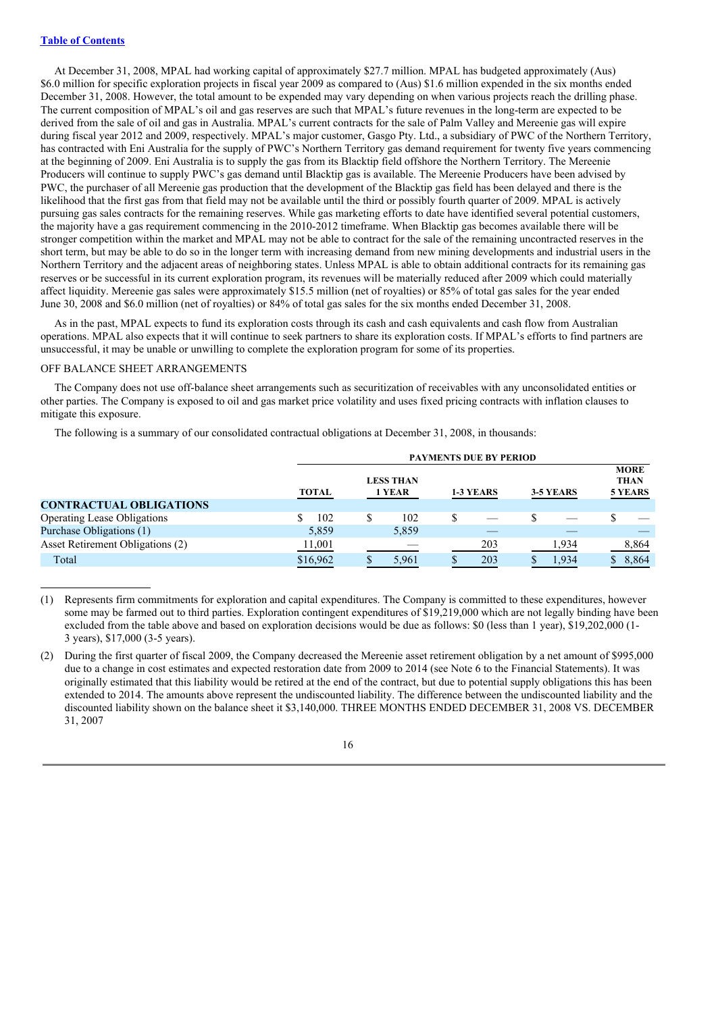At December 31, 2008, MPAL had working capital of approximately \$27.7 million. MPAL has budgeted approximately (Aus) \$6.0 million for specific exploration projects in fiscal year 2009 as compared to (Aus) \$1.6 million expended in the six months ended December 31, 2008. However, the total amount to be expended may vary depending on when various projects reach the drilling phase. The current composition of MPAL's oil and gas reserves are such that MPAL's future revenues in the long-term are expected to be derived from the sale of oil and gas in Australia. MPAL's current contracts for the sale of Palm Valley and Mereenie gas will expire during fiscal year 2012 and 2009, respectively. MPAL's major customer, Gasgo Pty. Ltd., a subsidiary of PWC of the Northern Territory, has contracted with Eni Australia for the supply of PWC's Northern Territory gas demand requirement for twenty five years commencing at the beginning of 2009. Eni Australia is to supply the gas from its Blacktip field offshore the Northern Territory. The Mereenie Producers will continue to supply PWC's gas demand until Blacktip gas is available. The Mereenie Producers have been advised by PWC, the purchaser of all Mereenie gas production that the development of the Blacktip gas field has been delayed and there is the likelihood that the first gas from that field may not be available until the third or possibly fourth quarter of 2009. MPAL is actively pursuing gas sales contracts for the remaining reserves. While gas marketing efforts to date have identified several potential customers, the majority have a gas requirement commencing in the 2010-2012 timeframe. When Blacktip gas becomes available there will be stronger competition within the market and MPAL may not be able to contract for the sale of the remaining uncontracted reserves in the short term, but may be able to do so in the longer term with increasing demand from new mining developments and industrial users in the Northern Territory and the adjacent areas of neighboring states. Unless MPAL is able to obtain additional contracts for its remaining gas reserves or be successful in its current exploration program, its revenues will be materially reduced after 2009 which could materially affect liquidity. Mereenie gas sales were approximately \$15.5 million (net of royalties) or 85% of total gas sales for the year ended June 30, 2008 and \$6.0 million (net of royalties) or 84% of total gas sales for the six months ended December 31, 2008.

As in the past, MPAL expects to fund its exploration costs through its cash and cash equivalents and cash flow from Australian operations. MPAL also expects that it will continue to seek partners to share its exploration costs. If MPAL's efforts to find partners are unsuccessful, it may be unable or unwilling to complete the exploration program for some of its properties.

# OFF BALANCE SHEET ARRANGEMENTS

The Company does not use off-balance sheet arrangements such as securitization of receivables with any unconsolidated entities or other parties. The Company is exposed to oil and gas market price volatility and uses fixed pricing contracts with inflation clauses to mitigate this exposure.

The following is a summary of our consolidated contractual obligations at December 31, 2008, in thousands:

|                                    | <b>PAYMENTS DUE BY PERIOD</b>                                        |  |       |  |     |                                       |       |       |
|------------------------------------|----------------------------------------------------------------------|--|-------|--|-----|---------------------------------------|-------|-------|
|                                    | <b>LESS THAN</b><br>1-3 YEARS<br>3-5 YEARS<br><b>TOTAL</b><br>1 YEAR |  |       |  |     | <b>MORE</b><br><b>THAN</b><br>5 YEARS |       |       |
| <b>CONTRACTUAL OBLIGATIONS</b>     |                                                                      |  |       |  |     |                                       |       |       |
| <b>Operating Lease Obligations</b> | 102                                                                  |  | 102   |  |     |                                       |       |       |
| Purchase Obligations (1)           | 5,859                                                                |  | 5,859 |  |     |                                       |       |       |
| Asset Retirement Obligations (2)   | 11,001                                                               |  |       |  | 203 |                                       | 1,934 | 8,864 |
| Total                              | \$16,962                                                             |  | 5.961 |  | 203 |                                       | 1,934 | 8,864 |

<sup>(1)</sup> Represents firm commitments for exploration and capital expenditures. The Company is committed to these expenditures, however some may be farmed out to third parties. Exploration contingent expenditures of \$19,219,000 which are not legally binding have been excluded from the table above and based on exploration decisions would be due as follows: \$0 (less than 1 year), \$19,202,000 (1- 3 years), \$17,000 (3-5 years).

<sup>(2)</sup> During the first quarter of fiscal 2009, the Company decreased the Mereenie asset retirement obligation by a net amount of \$995,000 due to a change in cost estimates and expected restoration date from 2009 to 2014 (see Note 6 to the Financial Statements). It was originally estimated that this liability would be retired at the end of the contract, but due to potential supply obligations this has been extended to 2014. The amounts above represent the undiscounted liability. The difference between the undiscounted liability and the discounted liability shown on the balance sheet it \$3,140,000. THREE MONTHS ENDED DECEMBER 31, 2008 VS. DECEMBER 31, 2007

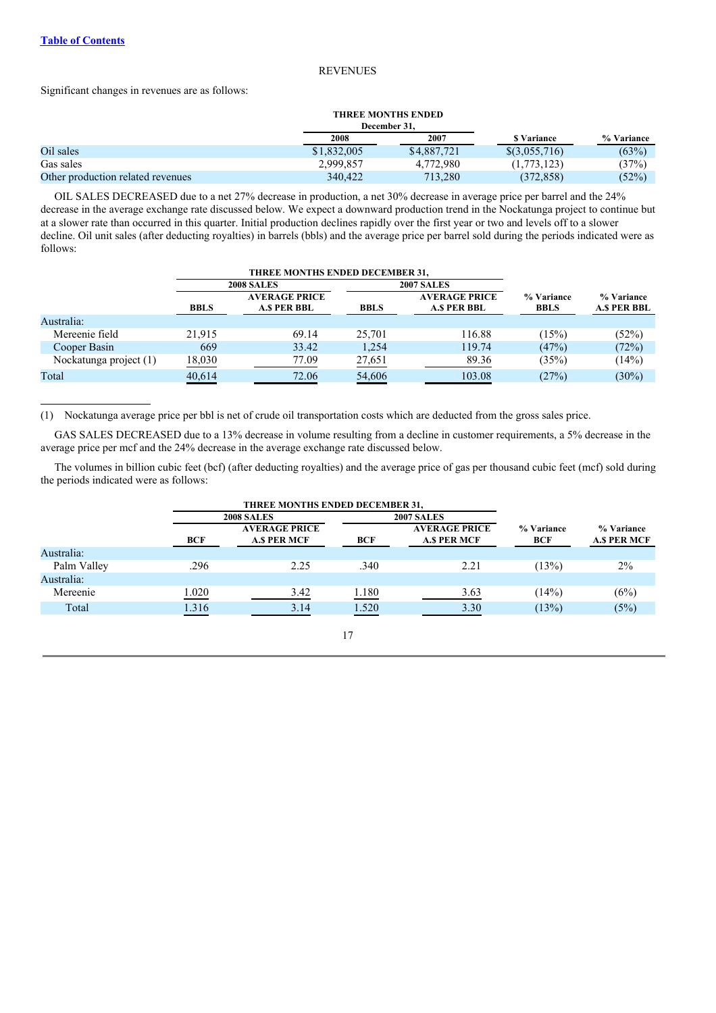# REVENUES

Significant changes in revenues are as follows:

|                                   |             | <b>THREE MONTHS ENDED</b><br>December 31. |                   |            |
|-----------------------------------|-------------|-------------------------------------------|-------------------|------------|
|                                   | 2008        | 2007                                      | <b>S</b> Variance | % Variance |
| Oil sales                         | \$1,832,005 | \$4,887,721                               | \$(3,055,716)     | (63%)      |
| Gas sales                         | 2,999,857   | 4.772.980                                 | (1,773,123)       | (37%)      |
| Other production related revenues | 340,422     | 713,280                                   | (372, 858)        | (52%)      |

OIL SALES DECREASED due to a net 27% decrease in production, a net 30% decrease in average price per barrel and the 24% decrease in the average exchange rate discussed below. We expect a downward production trend in the Nockatunga project to continue but at a slower rate than occurred in this quarter. Initial production declines rapidly over the first year or two and levels off to a slower decline. Oil unit sales (after deducting royalties) in barrels (bbls) and the average price per barrel sold during the periods indicated were as follows:

|                        |                   | THREE MONTHS ENDED DECEMBER 31.            |             |                                            |                           |                                  |
|------------------------|-------------------|--------------------------------------------|-------------|--------------------------------------------|---------------------------|----------------------------------|
|                        | <b>2008 SALES</b> |                                            |             | <b>2007 SALES</b>                          |                           |                                  |
|                        | <b>BBLS</b>       | <b>AVERAGE PRICE</b><br><b>A.S PER BBL</b> | <b>BBLS</b> | <b>AVERAGE PRICE</b><br><b>A.S PER BBL</b> | % Variance<br><b>BBLS</b> | % Variance<br><b>A.S PER BBL</b> |
| Australia:             |                   |                                            |             |                                            |                           |                                  |
| Mereenie field         | 21.915            | 69.14                                      | 25,701      | 116.88                                     | (15%)                     | (52%)                            |
| Cooper Basin           | 669               | 33.42                                      | 1,254       | 119.74                                     | (47%)                     | (72%)                            |
| Nockatunga project (1) | 18,030            | 77.09                                      | 27,651      | 89.36                                      | (35%)                     | (14%)                            |
| Total                  | 40,614            | 72.06                                      | 54,606      | 103.08                                     | (27%)                     | (30%)                            |

(1) Nockatunga average price per bbl is net of crude oil transportation costs which are deducted from the gross sales price.

GAS SALES DECREASED due to a 13% decrease in volume resulting from a decline in customer requirements, a 5% decrease in the average price per mcf and the 24% decrease in the average exchange rate discussed below.

The volumes in billion cubic feet (bcf) (after deducting royalties) and the average price of gas per thousand cubic feet (mcf) sold during the periods indicated were as follows:

|             |            | THREE MONTHS ENDED DECEMBER 31,            |              |                                            |                   |                                  |
|-------------|------------|--------------------------------------------|--------------|--------------------------------------------|-------------------|----------------------------------|
|             |            | <b>2008 SALES</b>                          |              | <b>2007 SALES</b>                          |                   |                                  |
|             | <b>BCF</b> | <b>AVERAGE PRICE</b><br><b>A.S PER MCF</b> | BCF          | <b>AVERAGE PRICE</b><br><b>A.S PER MCF</b> | % Variance<br>BCF | % Variance<br><b>A.S PER MCF</b> |
| Australia:  |            |                                            |              |                                            |                   |                                  |
| Palm Valley | .296       | 2.25                                       | .340         | 2.21                                       | (13%)             | $2\%$                            |
| Australia:  |            |                                            |              |                                            |                   |                                  |
| Mereenie    | 1.020      | 3.42                                       | <u>1.180</u> | 3.63                                       | (14%)             | (6%)                             |
| Total       | 1.316      | 3.14                                       | 1.520        | 3.30                                       | (13%)             | (5%)                             |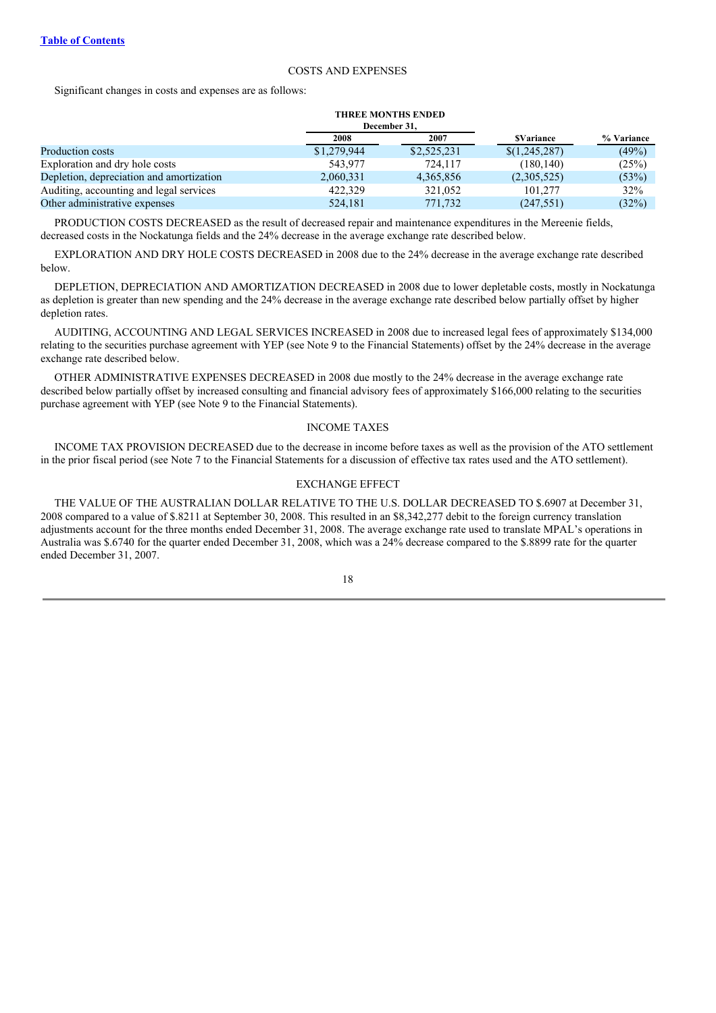# COSTS AND EXPENSES

Significant changes in costs and expenses are as follows:

| <b>THREE MONTHS ENDED</b> |             |                   |            |
|---------------------------|-------------|-------------------|------------|
|                           |             |                   |            |
| 2008                      | 2007        | <b>SVariance</b>  | % Variance |
| \$1,279,944               | \$2,525,231 | $\{(1,245,287)\}$ | (49%)      |
| 543,977                   | 724.117     | (180, 140)        | (25%)      |
| 2,060,331                 | 4,365,856   | (2,305,525)       | (53%)      |
| 422,329                   | 321,052     | 101,277           | 32%        |
| 524.181                   | 771,732     | (247, 551)        | (32%)      |
|                           |             | December 31,      |            |

PRODUCTION COSTS DECREASED as the result of decreased repair and maintenance expenditures in the Mereenie fields, decreased costs in the Nockatunga fields and the 24% decrease in the average exchange rate described below.

EXPLORATION AND DRY HOLE COSTS DECREASED in 2008 due to the 24% decrease in the average exchange rate described below.

DEPLETION, DEPRECIATION AND AMORTIZATION DECREASED in 2008 due to lower depletable costs, mostly in Nockatunga as depletion is greater than new spending and the 24% decrease in the average exchange rate described below partially offset by higher depletion rates.

AUDITING, ACCOUNTING AND LEGAL SERVICES INCREASED in 2008 due to increased legal fees of approximately \$134,000 relating to the securities purchase agreement with YEP (see Note 9 to the Financial Statements) offset by the 24% decrease in the average exchange rate described below.

OTHER ADMINISTRATIVE EXPENSES DECREASED in 2008 due mostly to the 24% decrease in the average exchange rate described below partially offset by increased consulting and financial advisory fees of approximately \$166,000 relating to the securities purchase agreement with YEP (see Note 9 to the Financial Statements).

# INCOME TAXES

INCOME TAX PROVISION DECREASED due to the decrease in income before taxes as well as the provision of the ATO settlement in the prior fiscal period (see Note 7 to the Financial Statements for a discussion of effective tax rates used and the ATO settlement).

# EXCHANGE EFFECT

THE VALUE OF THE AUSTRALIAN DOLLAR RELATIVE TO THE U.S. DOLLAR DECREASED TO \$.6907 at December 31, 2008 compared to a value of \$.8211 at September 30, 2008. This resulted in an \$8,342,277 debit to the foreign currency translation adjustments account for the three months ended December 31, 2008. The average exchange rate used to translate MPAL's operations in Australia was \$.6740 for the quarter ended December 31, 2008, which was a 24% decrease compared to the \$.8899 rate for the quarter ended December 31, 2007.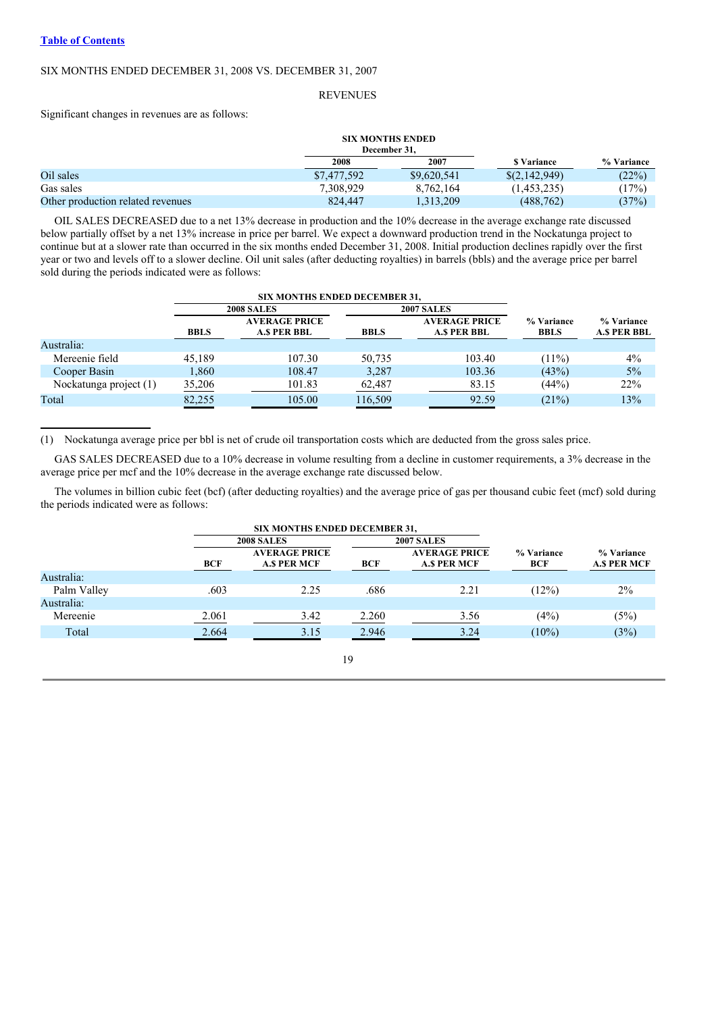# SIX MONTHS ENDED DECEMBER 31, 2008 VS. DECEMBER 31, 2007

#### REVENUES

Significant changes in revenues are as follows:

|                                   | <b>SIX MONTHS ENDED</b> |              |                   |            |
|-----------------------------------|-------------------------|--------------|-------------------|------------|
|                                   |                         | December 31. |                   |            |
|                                   | 2008                    | 2007         | <b>S</b> Variance | % Variance |
| Oil sales                         | \$7,477,592             | \$9,620,541  | \$(2,142,949)     | (22%)      |
| Gas sales                         | 7.308.929               | 8.762.164    | (1.453.235)       | 17%        |
| Other production related revenues | 824,447                 | 1.313.209    | (488, 762)        | (37%)      |

OIL SALES DECREASED due to a net 13% decrease in production and the 10% decrease in the average exchange rate discussed below partially offset by a net 13% increase in price per barrel. We expect a downward production trend in the Nockatunga project to continue but at a slower rate than occurred in the six months ended December 31, 2008. Initial production declines rapidly over the first year or two and levels off to a slower decline. Oil unit sales (after deducting royalties) in barrels (bbls) and the average price per barrel sold during the periods indicated were as follows:

|                        |                   | <b>SIX MONTHS ENDED DECEMBER 31,</b>       |                   |                                            |                           |                                  |
|------------------------|-------------------|--------------------------------------------|-------------------|--------------------------------------------|---------------------------|----------------------------------|
|                        | <b>2008 SALES</b> |                                            | <b>2007 SALES</b> |                                            |                           |                                  |
|                        | <b>BBLS</b>       | <b>AVERAGE PRICE</b><br><b>A.S PER BBL</b> | <b>BBLS</b>       | <b>AVERAGE PRICE</b><br><b>A.S PER BBL</b> | % Variance<br><b>BBLS</b> | % Variance<br><b>A.S PER BBL</b> |
| Australia:             |                   |                                            |                   |                                            |                           |                                  |
| Mereenie field         | 45,189            | 107.30                                     | 50.735            | 103.40                                     | (11%)                     | 4%                               |
| Cooper Basin           | 1.860             | 108.47                                     | 3,287             | 103.36                                     | (43%)                     | $5\%$                            |
| Nockatunga project (1) | 35,206            | 101.83                                     | 62,487            | 83.15                                      | (44%)                     | 22%                              |
| Total                  | 82,255            | 105.00                                     | 116,509           | 92.59                                      | (21%)                     | 13%                              |

(1) Nockatunga average price per bbl is net of crude oil transportation costs which are deducted from the gross sales price.

GAS SALES DECREASED due to a 10% decrease in volume resulting from a decline in customer requirements, a 3% decrease in the average price per mcf and the 10% decrease in the average exchange rate discussed below.

The volumes in billion cubic feet (bcf) (after deducting royalties) and the average price of gas per thousand cubic feet (mcf) sold during the periods indicated were as follows:

|             |       | <b>SIX MONTHS ENDED DECEMBER 31,</b>       |            |                                            |                          |                                  |
|-------------|-------|--------------------------------------------|------------|--------------------------------------------|--------------------------|----------------------------------|
|             |       | <b>2008 SALES</b>                          |            | <b>2007 SALES</b>                          |                          |                                  |
|             | BCF   | <b>AVERAGE PRICE</b><br><b>A.S PER MCF</b> | <b>BCF</b> | <b>AVERAGE PRICE</b><br><b>A.S PER MCF</b> | % Variance<br><b>BCF</b> | % Variance<br><b>A.S PER MCF</b> |
| Australia:  |       |                                            |            |                                            |                          |                                  |
| Palm Valley | .603  | 2.25                                       | .686       | 2.21                                       | (12%)                    | $2\%$                            |
| Australia:  |       |                                            |            |                                            |                          |                                  |
| Mereenie    | 2.061 | 3.42                                       | 2.260      | 3.56                                       | (4%)                     | (5%)                             |
| Total       | 2.664 | 3.15                                       | 2.946      | 3.24                                       | $10\%)$                  | (3%)                             |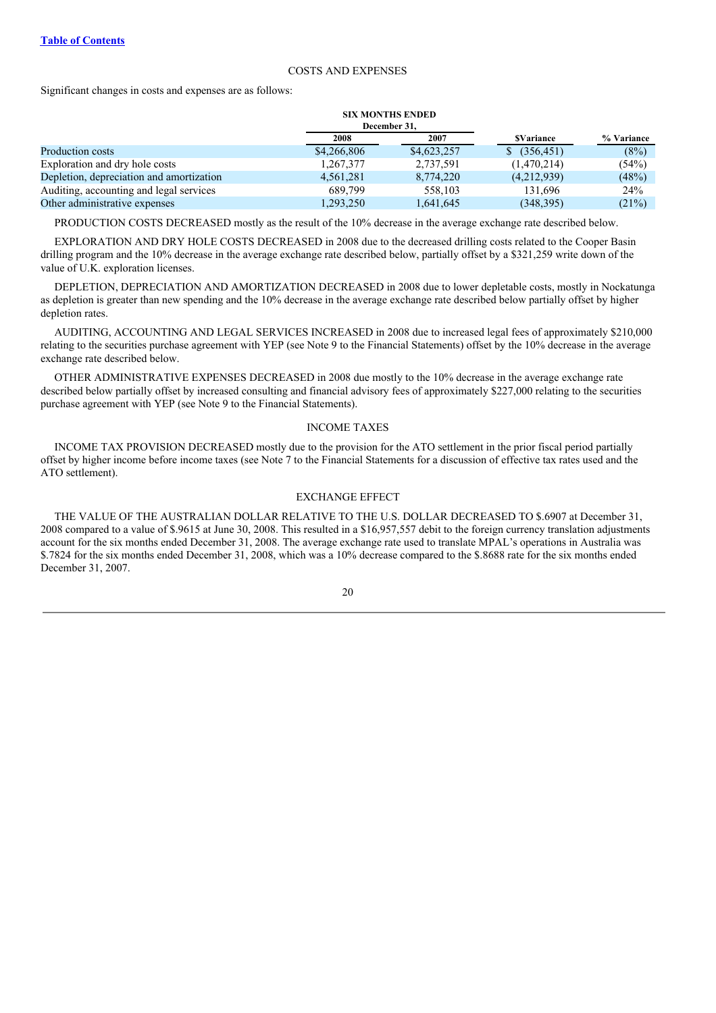# COSTS AND EXPENSES

Significant changes in costs and expenses are as follows:

|                                          | <b>SIX MONTHS ENDED</b> |              |                  |            |
|------------------------------------------|-------------------------|--------------|------------------|------------|
|                                          |                         | December 31, |                  |            |
|                                          | 2008                    | 2007         | <b>SVariance</b> | % Variance |
| Production costs                         | \$4,266,806             | \$4,623,257  | \$ (356, 451)    | (8%)       |
| Exploration and dry hole costs           | 1,267,377               | 2,737,591    | (1,470,214)      | (54%)      |
| Depletion, depreciation and amortization | 4,561,281               | 8,774,220    | (4,212,939)      | (48%)      |
| Auditing, accounting and legal services  | 689.799                 | 558.103      | 131.696          | 24%        |
| Other administrative expenses            | 1,293,250               | 1,641,645    | (348, 395)       | (21%)      |

PRODUCTION COSTS DECREASED mostly as the result of the 10% decrease in the average exchange rate described below.

EXPLORATION AND DRY HOLE COSTS DECREASED in 2008 due to the decreased drilling costs related to the Cooper Basin drilling program and the 10% decrease in the average exchange rate described below, partially offset by a \$321,259 write down of the value of U.K. exploration licenses.

DEPLETION, DEPRECIATION AND AMORTIZATION DECREASED in 2008 due to lower depletable costs, mostly in Nockatunga as depletion is greater than new spending and the 10% decrease in the average exchange rate described below partially offset by higher depletion rates.

AUDITING, ACCOUNTING AND LEGAL SERVICES INCREASED in 2008 due to increased legal fees of approximately \$210,000 relating to the securities purchase agreement with YEP (see Note 9 to the Financial Statements) offset by the 10% decrease in the average exchange rate described below.

OTHER ADMINISTRATIVE EXPENSES DECREASED in 2008 due mostly to the 10% decrease in the average exchange rate described below partially offset by increased consulting and financial advisory fees of approximately \$227,000 relating to the securities purchase agreement with YEP (see Note 9 to the Financial Statements).

# INCOME TAXES

INCOME TAX PROVISION DECREASED mostly due to the provision for the ATO settlement in the prior fiscal period partially offset by higher income before income taxes (see Note 7 to the Financial Statements for a discussion of effective tax rates used and the ATO settlement).

# EXCHANGE EFFECT

THE VALUE OF THE AUSTRALIAN DOLLAR RELATIVE TO THE U.S. DOLLAR DECREASED TO \$.6907 at December 31, 2008 compared to a value of \$.9615 at June 30, 2008. This resulted in a \$16,957,557 debit to the foreign currency translation adjustments account for the six months ended December 31, 2008. The average exchange rate used to translate MPAL's operations in Australia was \$.7824 for the six months ended December 31, 2008, which was a 10% decrease compared to the \$.8688 rate for the six months ended December 31, 2007.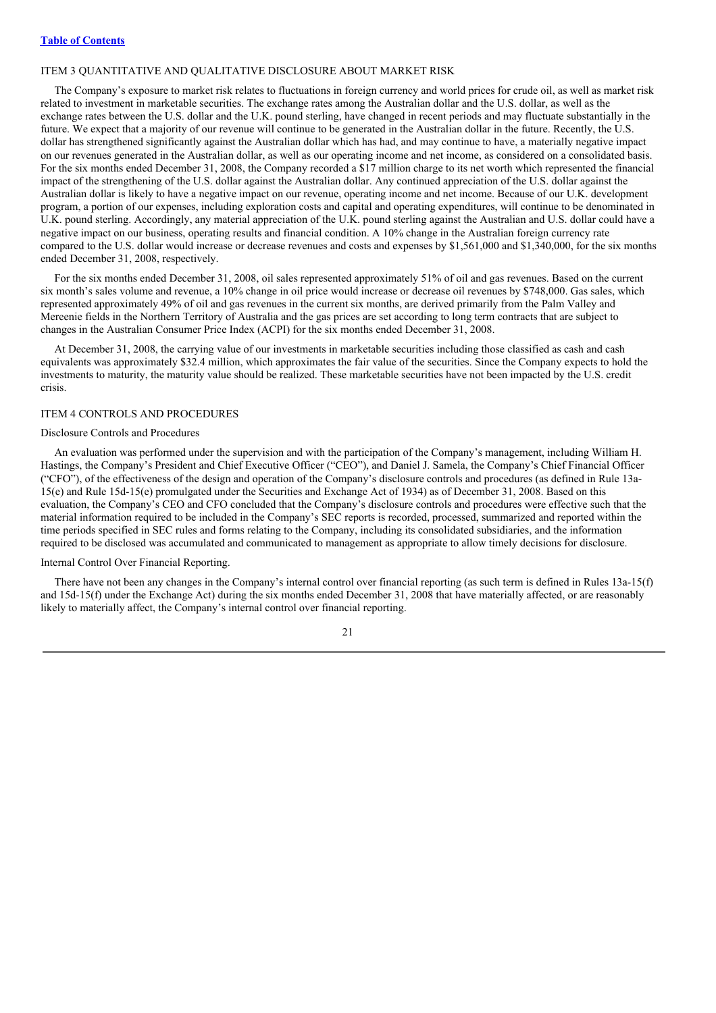## ITEM 3 QUANTITATIVE AND QUALITATIVE DISCLOSURE ABOUT MARKET RISK

The Company's exposure to market risk relates to fluctuations in foreign currency and world prices for crude oil, as well as market risk related to investment in marketable securities. The exchange rates among the Australian dollar and the U.S. dollar, as well as the exchange rates between the U.S. dollar and the U.K. pound sterling, have changed in recent periods and may fluctuate substantially in the future. We expect that a majority of our revenue will continue to be generated in the Australian dollar in the future. Recently, the U.S. dollar has strengthened significantly against the Australian dollar which has had, and may continue to have, a materially negative impact on our revenues generated in the Australian dollar, as well as our operating income and net income, as considered on a consolidated basis. For the six months ended December 31, 2008, the Company recorded a \$17 million charge to its net worth which represented the financial impact of the strengthening of the U.S. dollar against the Australian dollar. Any continued appreciation of the U.S. dollar against the Australian dollar is likely to have a negative impact on our revenue, operating income and net income. Because of our U.K. development program, a portion of our expenses, including exploration costs and capital and operating expenditures, will continue to be denominated in U.K. pound sterling. Accordingly, any material appreciation of the U.K. pound sterling against the Australian and U.S. dollar could have a negative impact on our business, operating results and financial condition. A 10% change in the Australian foreign currency rate compared to the U.S. dollar would increase or decrease revenues and costs and expenses by \$1,561,000 and \$1,340,000, for the six months ended December 31, 2008, respectively.

For the six months ended December 31, 2008, oil sales represented approximately 51% of oil and gas revenues. Based on the current six month's sales volume and revenue, a 10% change in oil price would increase or decrease oil revenues by \$748,000. Gas sales, which represented approximately 49% of oil and gas revenues in the current six months, are derived primarily from the Palm Valley and Mereenie fields in the Northern Territory of Australia and the gas prices are set according to long term contracts that are subject to changes in the Australian Consumer Price Index (ACPI) for the six months ended December 31, 2008.

At December 31, 2008, the carrying value of our investments in marketable securities including those classified as cash and cash equivalents was approximately \$32.4 million, which approximates the fair value of the securities. Since the Company expects to hold the investments to maturity, the maturity value should be realized. These marketable securities have not been impacted by the U.S. credit crisis.

# ITEM 4 CONTROLS AND PROCEDURES

#### Disclosure Controls and Procedures

An evaluation was performed under the supervision and with the participation of the Company's management, including William H. Hastings, the Company's President and Chief Executive Officer ("CEO"), and Daniel J. Samela, the Company's Chief Financial Officer ("CFO"), of the effectiveness of the design and operation of the Company's disclosure controls and procedures (as defined in Rule 13a-15(e) and Rule 15d-15(e) promulgated under the Securities and Exchange Act of 1934) as of December 31, 2008. Based on this evaluation, the Company's CEO and CFO concluded that the Company's disclosure controls and procedures were effective such that the material information required to be included in the Company's SEC reports is recorded, processed, summarized and reported within the time periods specified in SEC rules and forms relating to the Company, including its consolidated subsidiaries, and the information required to be disclosed was accumulated and communicated to management as appropriate to allow timely decisions for disclosure.

#### Internal Control Over Financial Reporting.

There have not been any changes in the Company's internal control over financial reporting (as such term is defined in Rules 13a-15(f) and 15d-15(f) under the Exchange Act) during the six months ended December 31, 2008 that have materially affected, or are reasonably likely to materially affect, the Company's internal control over financial reporting.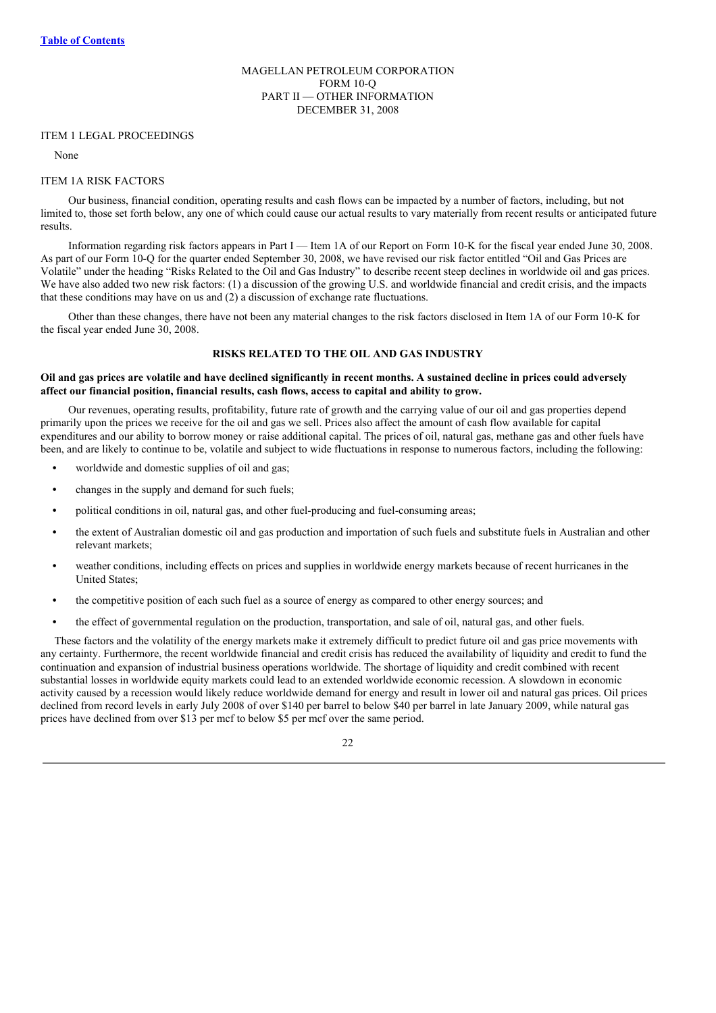### MAGELLAN PETROLEUM CORPORATION FORM 10-Q PART II — OTHER INFORMATION DECEMBER 31, 2008

#### ITEM 1 LEGAL PROCEEDINGS

None

#### ITEM 1A RISK FACTORS

Our business, financial condition, operating results and cash flows can be impacted by a number of factors, including, but not limited to, those set forth below, any one of which could cause our actual results to vary materially from recent results or anticipated future results.

Information regarding risk factors appears in Part I — Item 1A of our Report on Form 10-K for the fiscal year ended June 30, 2008. As part of our Form 10-Q for the quarter ended September 30, 2008, we have revised our risk factor entitled "Oil and Gas Prices are Volatile" under the heading "Risks Related to the Oil and Gas Industry" to describe recent steep declines in worldwide oil and gas prices. We have also added two new risk factors: (1) a discussion of the growing U.S. and worldwide financial and credit crisis, and the impacts that these conditions may have on us and (2) a discussion of exchange rate fluctuations.

Other than these changes, there have not been any material changes to the risk factors disclosed in Item 1A of our Form 10-K for the fiscal year ended June 30, 2008.

# **RISKS RELATED TO THE OIL AND GAS INDUSTRY**

#### Oil and gas prices are volatile and have declined significantly in recent months. A sustained decline in prices could adversely **affect our financial position, financial results, cash flows, access to capital and ability to grow.**

Our revenues, operating results, profitability, future rate of growth and the carrying value of our oil and gas properties depend primarily upon the prices we receive for the oil and gas we sell. Prices also affect the amount of cash flow available for capital expenditures and our ability to borrow money or raise additional capital. The prices of oil, natural gas, methane gas and other fuels have been, and are likely to continue to be, volatile and subject to wide fluctuations in response to numerous factors, including the following:

- **•** worldwide and domestic supplies of oil and gas;
- changes in the supply and demand for such fuels;
- **•** political conditions in oil, natural gas, and other fuel-producing and fuel-consuming areas;
- the extent of Australian domestic oil and gas production and importation of such fuels and substitute fuels in Australian and other relevant markets;
- **•** weather conditions, including effects on prices and supplies in worldwide energy markets because of recent hurricanes in the United States;
- the competitive position of each such fuel as a source of energy as compared to other energy sources; and
- **•** the effect of governmental regulation on the production, transportation, and sale of oil, natural gas, and other fuels.

These factors and the volatility of the energy markets make it extremely difficult to predict future oil and gas price movements with any certainty. Furthermore, the recent worldwide financial and credit crisis has reduced the availability of liquidity and credit to fund the continuation and expansion of industrial business operations worldwide. The shortage of liquidity and credit combined with recent substantial losses in worldwide equity markets could lead to an extended worldwide economic recession. A slowdown in economic activity caused by a recession would likely reduce worldwide demand for energy and result in lower oil and natural gas prices. Oil prices declined from record levels in early July 2008 of over \$140 per barrel to below \$40 per barrel in late January 2009, while natural gas prices have declined from over \$13 per mcf to below \$5 per mcf over the same period.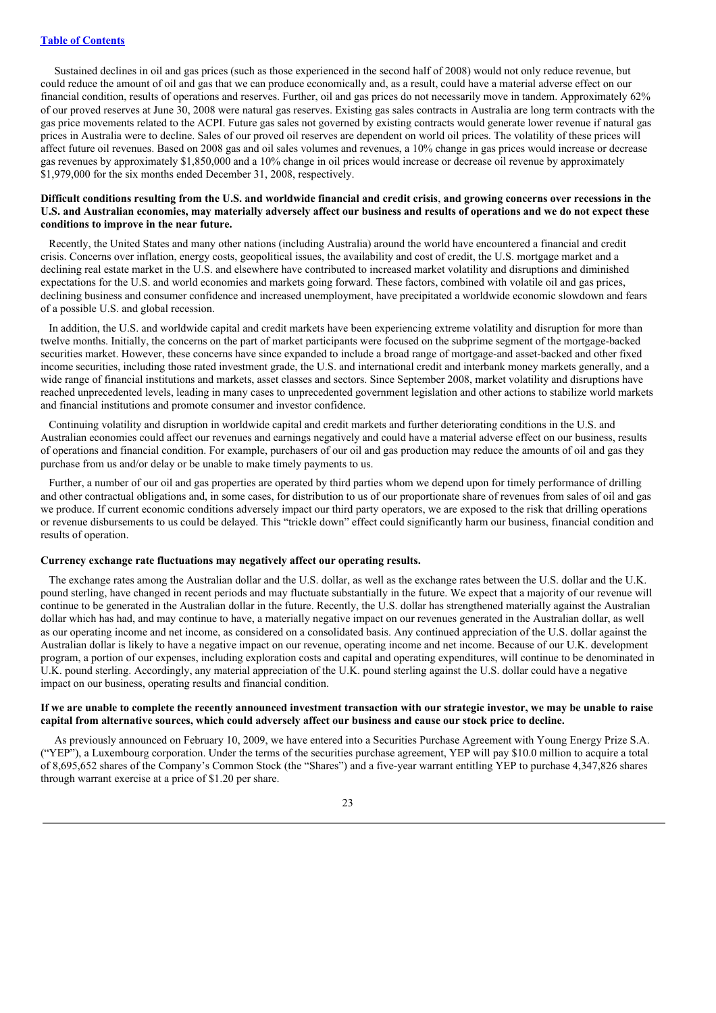#### **Table of [Contents](#page-0-0)**

Sustained declines in oil and gas prices (such as those experienced in the second half of 2008) would not only reduce revenue, but could reduce the amount of oil and gas that we can produce economically and, as a result, could have a material adverse effect on our financial condition, results of operations and reserves. Further, oil and gas prices do not necessarily move in tandem. Approximately 62% of our proved reserves at June 30, 2008 were natural gas reserves. Existing gas sales contracts in Australia are long term contracts with the gas price movements related to the ACPI. Future gas sales not governed by existing contracts would generate lower revenue if natural gas prices in Australia were to decline. Sales of our proved oil reserves are dependent on world oil prices. The volatility of these prices will affect future oil revenues. Based on 2008 gas and oil sales volumes and revenues, a 10% change in gas prices would increase or decrease gas revenues by approximately \$1,850,000 and a 10% change in oil prices would increase or decrease oil revenue by approximately \$1,979,000 for the six months ended December 31, 2008, respectively.

#### Difficult conditions resulting from the U.S. and worldwide financial and credit crisis, and growing concerns over recessions in the U.S. and Australian economies, may materially adversely affect our business and results of operations and we do not expect these **conditions to improve in the near future.**

Recently, the United States and many other nations (including Australia) around the world have encountered a financial and credit crisis. Concerns over inflation, energy costs, geopolitical issues, the availability and cost of credit, the U.S. mortgage market and a declining real estate market in the U.S. and elsewhere have contributed to increased market volatility and disruptions and diminished expectations for the U.S. and world economies and markets going forward. These factors, combined with volatile oil and gas prices, declining business and consumer confidence and increased unemployment, have precipitated a worldwide economic slowdown and fears of a possible U.S. and global recession.

In addition, the U.S. and worldwide capital and credit markets have been experiencing extreme volatility and disruption for more than twelve months. Initially, the concerns on the part of market participants were focused on the subprime segment of the mortgage-backed securities market. However, these concerns have since expanded to include a broad range of mortgage-and asset-backed and other fixed income securities, including those rated investment grade, the U.S. and international credit and interbank money markets generally, and a wide range of financial institutions and markets, asset classes and sectors. Since September 2008, market volatility and disruptions have reached unprecedented levels, leading in many cases to unprecedented government legislation and other actions to stabilize world markets and financial institutions and promote consumer and investor confidence.

Continuing volatility and disruption in worldwide capital and credit markets and further deteriorating conditions in the U.S. and Australian economies could affect our revenues and earnings negatively and could have a material adverse effect on our business, results of operations and financial condition. For example, purchasers of our oil and gas production may reduce the amounts of oil and gas they purchase from us and/or delay or be unable to make timely payments to us.

Further, a number of our oil and gas properties are operated by third parties whom we depend upon for timely performance of drilling and other contractual obligations and, in some cases, for distribution to us of our proportionate share of revenues from sales of oil and gas we produce. If current economic conditions adversely impact our third party operators, we are exposed to the risk that drilling operations or revenue disbursements to us could be delayed. This "trickle down" effect could significantly harm our business, financial condition and results of operation.

# **Currency exchange rate fluctuations may negatively affect our operating results.**

The exchange rates among the Australian dollar and the U.S. dollar, as well as the exchange rates between the U.S. dollar and the U.K. pound sterling, have changed in recent periods and may fluctuate substantially in the future. We expect that a majority of our revenue will continue to be generated in the Australian dollar in the future. Recently, the U.S. dollar has strengthened materially against the Australian dollar which has had, and may continue to have, a materially negative impact on our revenues generated in the Australian dollar, as well as our operating income and net income, as considered on a consolidated basis. Any continued appreciation of the U.S. dollar against the Australian dollar is likely to have a negative impact on our revenue, operating income and net income. Because of our U.K. development program, a portion of our expenses, including exploration costs and capital and operating expenditures, will continue to be denominated in U.K. pound sterling. Accordingly, any material appreciation of the U.K. pound sterling against the U.S. dollar could have a negative impact on our business, operating results and financial condition.

#### If we are unable to complete the recently announced investment transaction with our strategic investor, we may be unable to raise capital from alternative sources, which could adversely affect our business and cause our stock price to decline.

As previously announced on February 10, 2009, we have entered into a Securities Purchase Agreement with Young Energy Prize S.A. ("YEP"), a Luxembourg corporation. Under the terms of the securities purchase agreement, YEP will pay \$10.0 million to acquire a total of 8,695,652 shares of the Company's Common Stock (the "Shares") and a five-year warrant entitling YEP to purchase 4,347,826 shares through warrant exercise at a price of \$1.20 per share.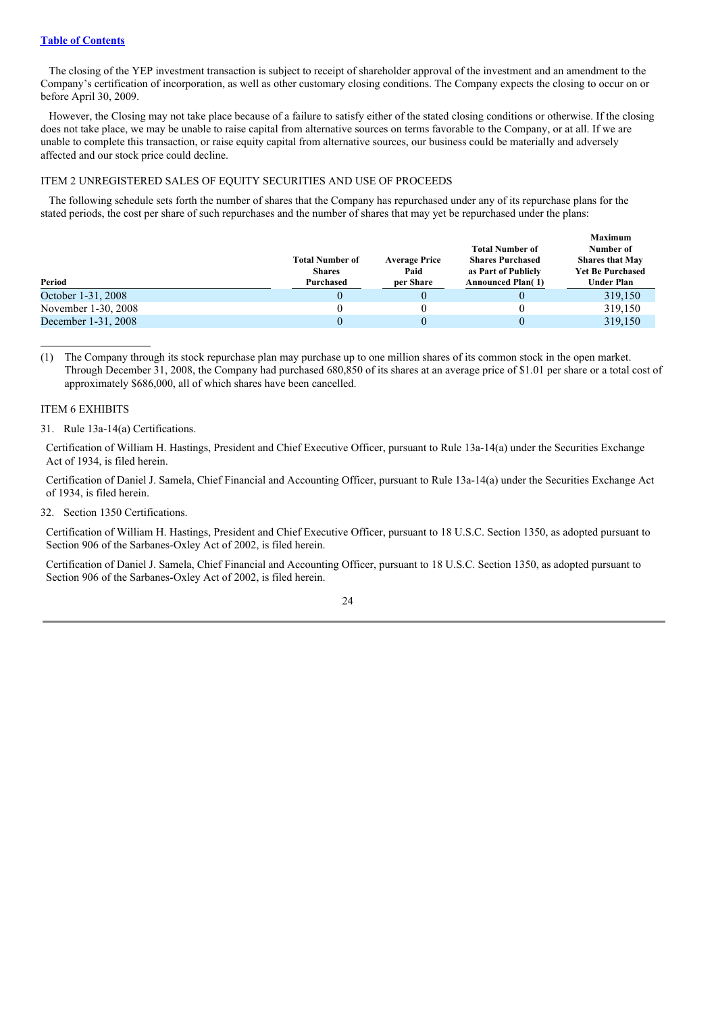The closing of the YEP investment transaction is subject to receipt of shareholder approval of the investment and an amendment to the Company's certification of incorporation, as well as other customary closing conditions. The Company expects the closing to occur on or before April 30, 2009.

However, the Closing may not take place because of a failure to satisfy either of the stated closing conditions or otherwise. If the closing does not take place, we may be unable to raise capital from alternative sources on terms favorable to the Company, or at all. If we are unable to complete this transaction, or raise equity capital from alternative sources, our business could be materially and adversely affected and our stock price could decline.

# ITEM 2 UNREGISTERED SALES OF EQUITY SECURITIES AND USE OF PROCEEDS

The following schedule sets forth the number of shares that the Company has repurchased under any of its repurchase plans for the stated periods, the cost per share of such repurchases and the number of shares that may yet be repurchased under the plans:

| Period              | <b>Total Number of</b><br><b>Shares</b><br>Purchased | <b>Average Price</b><br>Paid<br>per Share | <b>Total Number of</b><br><b>Shares Purchased</b><br>as Part of Publicly<br><b>Announced Plan(1)</b> | Maximum<br>Number of<br><b>Shares that May</b><br><b>Yet Be Purchased</b><br><b>Under Plan</b> |
|---------------------|------------------------------------------------------|-------------------------------------------|------------------------------------------------------------------------------------------------------|------------------------------------------------------------------------------------------------|
| October 1-31, 2008  |                                                      |                                           |                                                                                                      | 319,150                                                                                        |
| November 1-30, 2008 |                                                      |                                           |                                                                                                      | 319,150                                                                                        |
| December 1-31, 2008 |                                                      |                                           |                                                                                                      | 319,150                                                                                        |
|                     |                                                      |                                           |                                                                                                      |                                                                                                |

 $\mathbf{M}$ 

(1) The Company through its stock repurchase plan may purchase up to one million shares of its common stock in the open market. Through December 31, 2008, the Company had purchased 680,850 of its shares at an average price of \$1.01 per share or a total cost of approximately \$686,000, all of which shares have been cancelled.

#### ITEM 6 EXHIBITS

### 31. Rule 13a-14(a) Certifications.

Certification of William H. Hastings, President and Chief Executive Officer, pursuant to Rule 13a-14(a) under the Securities Exchange Act of 1934, is filed herein.

Certification of Daniel J. Samela, Chief Financial and Accounting Officer, pursuant to Rule 13a-14(a) under the Securities Exchange Act of 1934, is filed herein.

#### 32. Section 1350 Certifications.

Certification of William H. Hastings, President and Chief Executive Officer, pursuant to 18 U.S.C. Section 1350, as adopted pursuant to Section 906 of the Sarbanes-Oxley Act of 2002, is filed herein.

Certification of Daniel J. Samela, Chief Financial and Accounting Officer, pursuant to 18 U.S.C. Section 1350, as adopted pursuant to Section 906 of the Sarbanes-Oxley Act of 2002, is filed herein.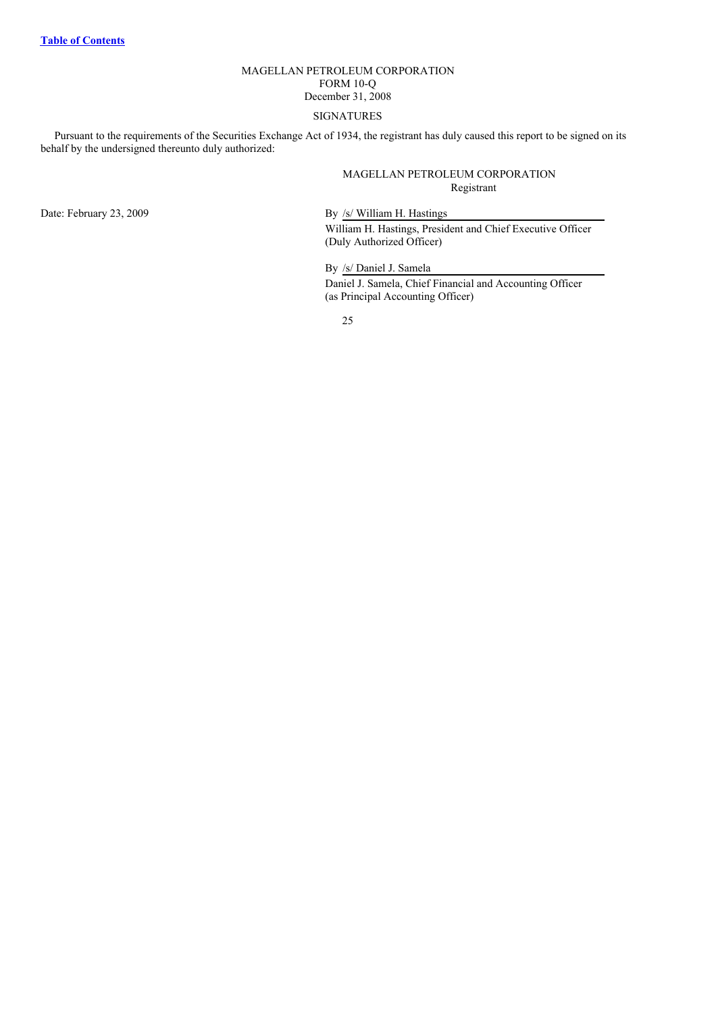### MAGELLAN PETROLEUM CORPORATION FORM 10-Q December 31, 2008

# SIGNATURES

Pursuant to the requirements of the Securities Exchange Act of 1934, the registrant has duly caused this report to be signed on its behalf by the undersigned thereunto duly authorized:

> MAGELLAN PETROLEUM CORPORATION Registrant

Date: February 23, 2009 By /s/ William H. Hastings

William H. Hastings, President and Chief Executive Officer (Duly Authorized Officer)

By /s/ Daniel J. Samela

Daniel J. Samela, Chief Financial and Accounting Officer (as Principal Accounting Officer)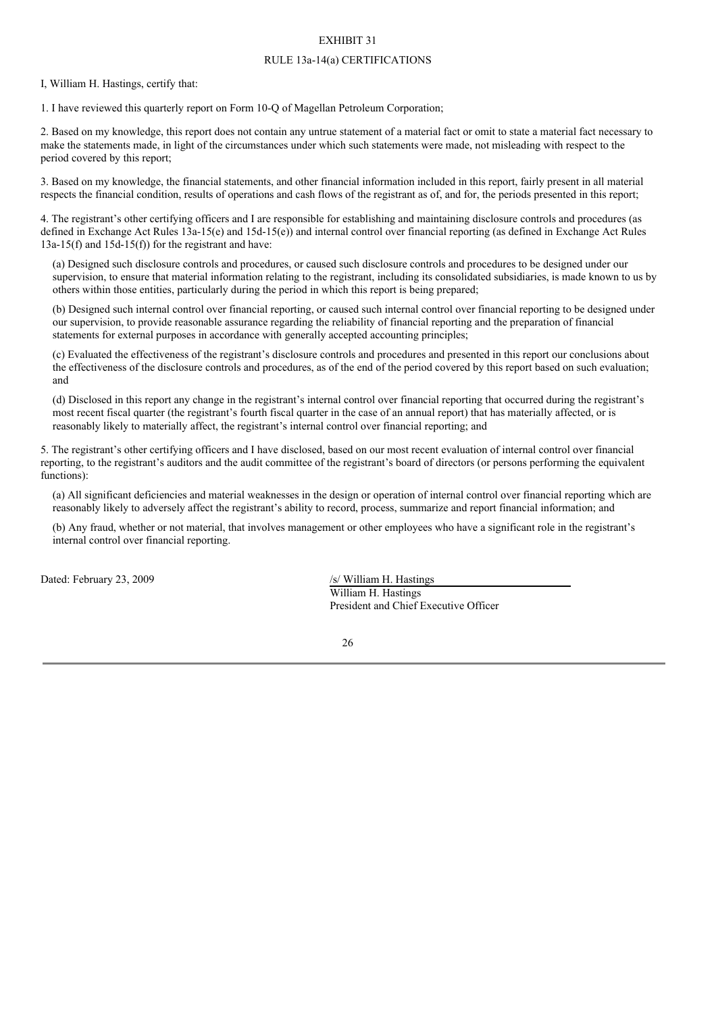### RULE 13a-14(a) CERTIFICATIONS

<span id="page-25-0"></span>I, William H. Hastings, certify that:

1. I have reviewed this quarterly report on Form 10-Q of Magellan Petroleum Corporation;

2. Based on my knowledge, this report does not contain any untrue statement of a material fact or omit to state a material fact necessary to make the statements made, in light of the circumstances under which such statements were made, not misleading with respect to the period covered by this report;

3. Based on my knowledge, the financial statements, and other financial information included in this report, fairly present in all material respects the financial condition, results of operations and cash flows of the registrant as of, and for, the periods presented in this report;

4. The registrant's other certifying officers and I are responsible for establishing and maintaining disclosure controls and procedures (as defined in Exchange Act Rules 13a-15(e) and 15d-15(e)) and internal control over financial reporting (as defined in Exchange Act Rules 13a-15(f) and 15d-15(f)) for the registrant and have:

(a) Designed such disclosure controls and procedures, or caused such disclosure controls and procedures to be designed under our supervision, to ensure that material information relating to the registrant, including its consolidated subsidiaries, is made known to us by others within those entities, particularly during the period in which this report is being prepared;

(b) Designed such internal control over financial reporting, or caused such internal control over financial reporting to be designed under our supervision, to provide reasonable assurance regarding the reliability of financial reporting and the preparation of financial statements for external purposes in accordance with generally accepted accounting principles;

(c) Evaluated the effectiveness of the registrant's disclosure controls and procedures and presented in this report our conclusions about the effectiveness of the disclosure controls and procedures, as of the end of the period covered by this report based on such evaluation; and

(d) Disclosed in this report any change in the registrant's internal control over financial reporting that occurred during the registrant's most recent fiscal quarter (the registrant's fourth fiscal quarter in the case of an annual report) that has materially affected, or is reasonably likely to materially affect, the registrant's internal control over financial reporting; and

5. The registrant's other certifying officers and I have disclosed, based on our most recent evaluation of internal control over financial reporting, to the registrant's auditors and the audit committee of the registrant's board of directors (or persons performing the equivalent functions):

(a) All significant deficiencies and material weaknesses in the design or operation of internal control over financial reporting which are reasonably likely to adversely affect the registrant's ability to record, process, summarize and report financial information; and

(b) Any fraud, whether or not material, that involves management or other employees who have a significant role in the registrant's internal control over financial reporting.

Dated: February 23, 2009 /s/ William H. Hastings

William H. Hastings President and Chief Executive Officer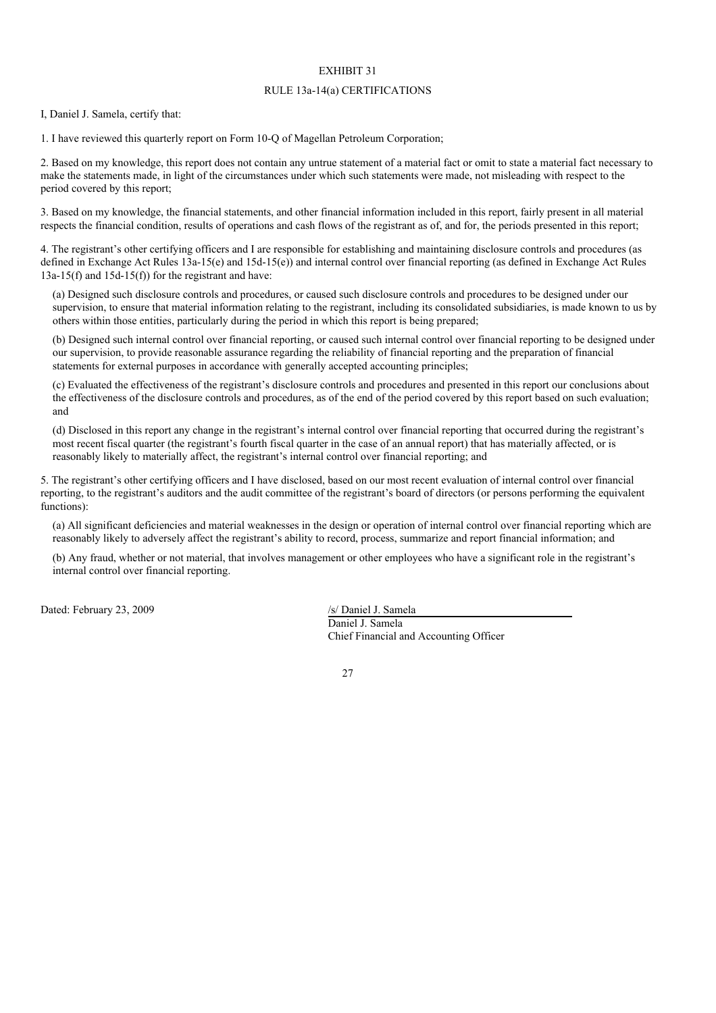#### RULE 13a-14(a) CERTIFICATIONS

I, Daniel J. Samela, certify that:

1. I have reviewed this quarterly report on Form 10-Q of Magellan Petroleum Corporation;

2. Based on my knowledge, this report does not contain any untrue statement of a material fact or omit to state a material fact necessary to make the statements made, in light of the circumstances under which such statements were made, not misleading with respect to the period covered by this report;

3. Based on my knowledge, the financial statements, and other financial information included in this report, fairly present in all material respects the financial condition, results of operations and cash flows of the registrant as of, and for, the periods presented in this report;

4. The registrant's other certifying officers and I are responsible for establishing and maintaining disclosure controls and procedures (as defined in Exchange Act Rules 13a-15(e) and 15d-15(e)) and internal control over financial reporting (as defined in Exchange Act Rules 13a-15(f) and 15d-15(f)) for the registrant and have:

(a) Designed such disclosure controls and procedures, or caused such disclosure controls and procedures to be designed under our supervision, to ensure that material information relating to the registrant, including its consolidated subsidiaries, is made known to us by others within those entities, particularly during the period in which this report is being prepared;

(b) Designed such internal control over financial reporting, or caused such internal control over financial reporting to be designed under our supervision, to provide reasonable assurance regarding the reliability of financial reporting and the preparation of financial statements for external purposes in accordance with generally accepted accounting principles;

(c) Evaluated the effectiveness of the registrant's disclosure controls and procedures and presented in this report our conclusions about the effectiveness of the disclosure controls and procedures, as of the end of the period covered by this report based on such evaluation; and

(d) Disclosed in this report any change in the registrant's internal control over financial reporting that occurred during the registrant's most recent fiscal quarter (the registrant's fourth fiscal quarter in the case of an annual report) that has materially affected, or is reasonably likely to materially affect, the registrant's internal control over financial reporting; and

5. The registrant's other certifying officers and I have disclosed, based on our most recent evaluation of internal control over financial reporting, to the registrant's auditors and the audit committee of the registrant's board of directors (or persons performing the equivalent functions):

(a) All significant deficiencies and material weaknesses in the design or operation of internal control over financial reporting which are reasonably likely to adversely affect the registrant's ability to record, process, summarize and report financial information; and

(b) Any fraud, whether or not material, that involves management or other employees who have a significant role in the registrant's internal control over financial reporting.

Dated: February 23, 2009 /s/ Daniel J. Samela

Daniel J. Samela Chief Financial and Accounting Officer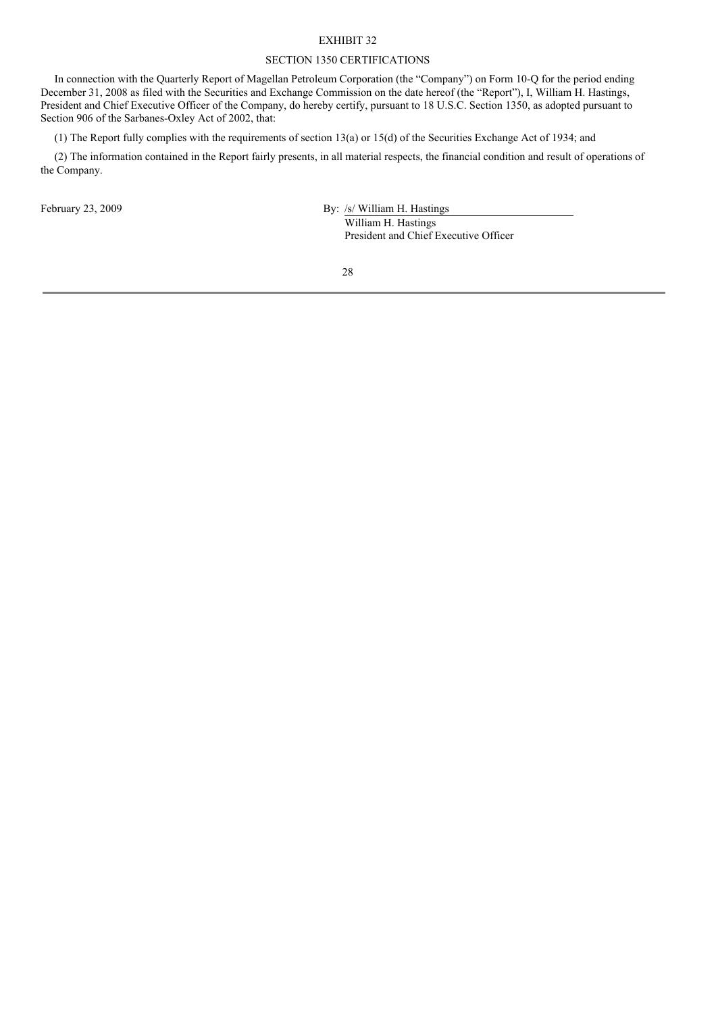### SECTION 1350 CERTIFICATIONS

<span id="page-27-0"></span>In connection with the Quarterly Report of Magellan Petroleum Corporation (the "Company") on Form 10-Q for the period ending December 31, 2008 as filed with the Securities and Exchange Commission on the date hereof (the "Report"), I, William H. Hastings, President and Chief Executive Officer of the Company, do hereby certify, pursuant to 18 U.S.C. Section 1350, as adopted pursuant to Section 906 of the Sarbanes-Oxley Act of 2002, that:

(1) The Report fully complies with the requirements of section 13(a) or 15(d) of the Securities Exchange Act of 1934; and

(2) The information contained in the Report fairly presents, in all material respects, the financial condition and result of operations of the Company.

February 23, 2009 By: /s/ William H. Hastings

William H. Hastings President and Chief Executive Officer